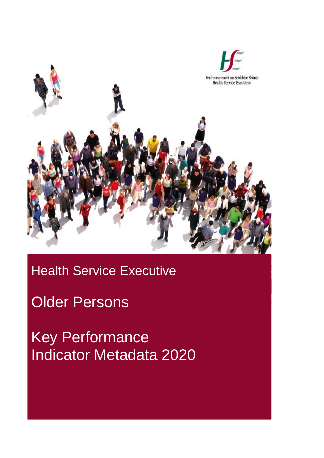

## Health Service Executive

## Older Persons

Key Performance Indicator Metadata 2020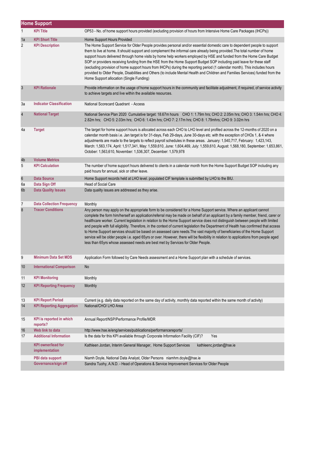|                  | <b>Home Support</b>                                          |                                                                                                                                                                                                                                                                                                                                                                                                                                                                                                                                                                                                                                                                                                                                                                                                                                                                                            |  |  |
|------------------|--------------------------------------------------------------|--------------------------------------------------------------------------------------------------------------------------------------------------------------------------------------------------------------------------------------------------------------------------------------------------------------------------------------------------------------------------------------------------------------------------------------------------------------------------------------------------------------------------------------------------------------------------------------------------------------------------------------------------------------------------------------------------------------------------------------------------------------------------------------------------------------------------------------------------------------------------------------------|--|--|
| $\mathbf{1}$     | <b>KPI Title</b>                                             | OP53 - No. of home support hours provided (excluding provision of hours from Intensive Home Care Packages (IHCPs))                                                                                                                                                                                                                                                                                                                                                                                                                                                                                                                                                                                                                                                                                                                                                                         |  |  |
| 1a               | <b>KPI Short Title</b>                                       | Home Support Hours Provided                                                                                                                                                                                                                                                                                                                                                                                                                                                                                                                                                                                                                                                                                                                                                                                                                                                                |  |  |
| $\overline{2}$   | <b>KPI Description</b>                                       | The Home Support Service for Older People provides personal and/or essential domestic care to dependent people to support<br>them to live at home. It should support and complement the informal care already being provided. The total number of home<br>support hours delivered through home visits by home help workers employed by HSE and funded from the Home Care Budget<br>SOP or providers receiving funding from the HSE from the Home Support Budget SOP including paid leave for these staff<br>(excluding provision of home support hours from IHCPs) during the reporting period (1 calendar month). This includes hours<br>provided to Older People, Disabilities and Others (to include Mental Health and Children and Families Services) funded from the<br>Home Support allocation (Single Funding)                                                                      |  |  |
| 3                | <b>KPI Rationale</b>                                         | Provide information on the usage of home support hours in the community and facilitate adjustment, if required, of service activity<br>to achieve targets and live within the available resources.                                                                                                                                                                                                                                                                                                                                                                                                                                                                                                                                                                                                                                                                                         |  |  |
| За               | <b>Indicator Classification</b>                              | National Scorecard Quadrant - Access                                                                                                                                                                                                                                                                                                                                                                                                                                                                                                                                                                                                                                                                                                                                                                                                                                                       |  |  |
| $\overline{4}$   | <b>National Target</b>                                       | National Service Plan 2020 Cumulative target: 18.67m hours CHO 1: 1.79m hrs; CHO 2: 2.05m hrs; CHO 3: 1.54m hrs; CHO 4:<br>2.82m hrs; CHO 5: 2.03m hrs; CHO 6: 1.43m hrs; CHO 7: 2.17m hrs; CHO 8: 1.79mhrs; CHO 9: 3.02m hrs                                                                                                                                                                                                                                                                                                                                                                                                                                                                                                                                                                                                                                                              |  |  |
| 4a               | <b>Target</b>                                                | The target for home support hours is allocated across each CHO to LHO level and profiled across the 12-months of 2020 on a<br>calendar month basis i.e. Jan target is for 31-days, Feb 29-days, June 30-days etc. with the exception of CHOs 1, & 4 where<br>adjustments are made to the targets to reflect payroll schedules in these areas. January: 1,540,717, February: 1,423,143,<br>March: 1,563,174, April: 1,517,341, May: 1,559,610, June: 1,604,469, July: 1,559,610, August: 1,568,180, September: 1,653,861,<br>October: 1,563,610, November: 1,536,307, December: 1,579,978                                                                                                                                                                                                                                                                                                   |  |  |
| 4b               | <b>Volume Metrics</b>                                        |                                                                                                                                                                                                                                                                                                                                                                                                                                                                                                                                                                                                                                                                                                                                                                                                                                                                                            |  |  |
| 5                | <b>KPI Calculation</b>                                       | The number of home support hours delivered to clients in a calendar month from the Home Support Budget SOP including any<br>paid hours for annual, sick or other leave.                                                                                                                                                                                                                                                                                                                                                                                                                                                                                                                                                                                                                                                                                                                    |  |  |
| $\boldsymbol{6}$ | <b>Data Source</b>                                           | Home Support records held at LHO level. populated CIF template is submitted by LHO to the BIU.                                                                                                                                                                                                                                                                                                                                                                                                                                                                                                                                                                                                                                                                                                                                                                                             |  |  |
| 6a               | Data Sign Off<br><b>Data Quality Issues</b>                  | Head of Social Care                                                                                                                                                                                                                                                                                                                                                                                                                                                                                                                                                                                                                                                                                                                                                                                                                                                                        |  |  |
| 6b               |                                                              | Data quality issues are addressed as they arise.                                                                                                                                                                                                                                                                                                                                                                                                                                                                                                                                                                                                                                                                                                                                                                                                                                           |  |  |
| 7                | <b>Data Collection Frequency</b>                             | Monthly                                                                                                                                                                                                                                                                                                                                                                                                                                                                                                                                                                                                                                                                                                                                                                                                                                                                                    |  |  |
| 8                | <b>Tracer Conditions</b>                                     | Any person may apply on the appropriate form to be considered for a Home Support service. Where an applicant cannot<br>complete the form him/herself an application/referral may be made on behalf of an applicant by a family member, friend, carer or<br>healthcare worker. Current legislation in relation to the Home Support service does not distinguish between people with limited<br>and people with full eligibility. Therefore, in the context of current legislation the Department of Health has confirmed that access<br>to Home Support services should be based on assessed care needs. The vast majority of beneficiaries of the Home Support<br>service will be older people i.e. aged 65yrs or over. However, there will be flexibility in relation to applications from people aged<br>less than 65yrs whose assessed needs are best met by Services for Older People. |  |  |
| 9                | <b>Minimum Data Set MDS</b>                                  | Application Form followed by Care Needs assessment and a Home Support plan with a schedule of services.                                                                                                                                                                                                                                                                                                                                                                                                                                                                                                                                                                                                                                                                                                                                                                                    |  |  |
| 10               | <b>International Comparison</b>                              | No                                                                                                                                                                                                                                                                                                                                                                                                                                                                                                                                                                                                                                                                                                                                                                                                                                                                                         |  |  |
| 11               | <b>KPI Monitoring</b>                                        | Monthly                                                                                                                                                                                                                                                                                                                                                                                                                                                                                                                                                                                                                                                                                                                                                                                                                                                                                    |  |  |
| 12               | <b>KPI Reporting Frequency</b>                               | Monthly                                                                                                                                                                                                                                                                                                                                                                                                                                                                                                                                                                                                                                                                                                                                                                                                                                                                                    |  |  |
| 13<br>14         | <b>KPI Report Period</b><br><b>KPI Reporting Aggregation</b> | Current (e.g. daily data reported on the same day of activity, monthly data reported within the same month of activity)<br>National/CHO/ LHO Area                                                                                                                                                                                                                                                                                                                                                                                                                                                                                                                                                                                                                                                                                                                                          |  |  |
| 15               | <b>KPI</b> is reported in which<br>reports?                  | Annual Report/NSP/Performance Profile/MDR                                                                                                                                                                                                                                                                                                                                                                                                                                                                                                                                                                                                                                                                                                                                                                                                                                                  |  |  |
| 16               | Web link to data                                             | http://www.hse.ie/eng/services/publications/performancereports/                                                                                                                                                                                                                                                                                                                                                                                                                                                                                                                                                                                                                                                                                                                                                                                                                            |  |  |
| 17               | <b>Additional Information</b>                                | Is the data for this KPI available through Corporate Information Facility (CIF)?<br>Yes                                                                                                                                                                                                                                                                                                                                                                                                                                                                                                                                                                                                                                                                                                                                                                                                    |  |  |
|                  | <b>KPI owner/lead for</b><br>implementation                  | Kathleen Jordan, Interim General Manager, Home Support Services<br>kathleenc.jordan@hse.ie                                                                                                                                                                                                                                                                                                                                                                                                                                                                                                                                                                                                                                                                                                                                                                                                 |  |  |
|                  | PBI data support<br>Governance/sign off                      | Niamh Doyle, National Data Analyst, Older Persons niamhm.doyle@hse.ie<br>Sandra Tuohy, A.N.D. - Head of Operations & Service Improvement Services for Older People                                                                                                                                                                                                                                                                                                                                                                                                                                                                                                                                                                                                                                                                                                                         |  |  |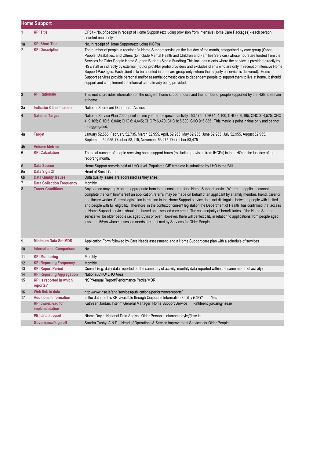|                  | <b>Home Support</b>                         |                                                                                                                                                                                                                                                                                                                                                                                                                                                                                                                                                                                                                                                                                                                                                                                                                                                                                            |  |
|------------------|---------------------------------------------|--------------------------------------------------------------------------------------------------------------------------------------------------------------------------------------------------------------------------------------------------------------------------------------------------------------------------------------------------------------------------------------------------------------------------------------------------------------------------------------------------------------------------------------------------------------------------------------------------------------------------------------------------------------------------------------------------------------------------------------------------------------------------------------------------------------------------------------------------------------------------------------------|--|
| $\mathbf{1}$     | <b>KPI Title</b>                            | OP54 - No. of people in receipt of Home Support (excluding provision from Intensive Home Care Packages) - each person<br>counted once only                                                                                                                                                                                                                                                                                                                                                                                                                                                                                                                                                                                                                                                                                                                                                 |  |
| 1a               | <b>KPI Short Title</b>                      | No. in receipt of Home Support(excluding IHCPs)                                                                                                                                                                                                                                                                                                                                                                                                                                                                                                                                                                                                                                                                                                                                                                                                                                            |  |
| $\overline{2}$   | <b>KPI Description</b>                      | The number of people in receipt of a Home Support service on the last day of the month, categorised by care group (Older<br>People, Disabilities, and Others (to include Mental Health and Children and Families Services) whose hours are funded from the<br>Services for Older People Home Support Budget (Single Funding) This includes clients where the service is provided directly by<br>HSE staff or indirectly by external (not for profit/for profit) providers and excludes clients who are only in receipt of Intensive Home<br>Support Packages. Each client is to be counted in one care group only (where the majority of service is delivered). Home<br>Support services provide personal and/or essential domestic care to dependent people to support them to live at home. It should<br>support and complement the informal care already being provided.                |  |
| 3                | <b>KPI Rationale</b>                        | This metric provides information on the usage of home support hours and the number of people supported by the HSE to remain<br>at home.                                                                                                                                                                                                                                                                                                                                                                                                                                                                                                                                                                                                                                                                                                                                                    |  |
| За               | <b>Indicator Classification</b>             | National Scorecard Quadrant - Access                                                                                                                                                                                                                                                                                                                                                                                                                                                                                                                                                                                                                                                                                                                                                                                                                                                       |  |
| $\overline{4}$   | <b>National Target</b>                      | National Service Plan 2020 point in time year end expected activity - 53,475. CHO 1: 4,100; CHO 2: 6,195; CHO 3: 4,575; CHO<br>4: 9,165; CHO 5: 6,040; CHO 6: 4,445; CHO 7: 6,470; CHO 8: 5,600; CHO 9: 6,885. This metric is point in time only and cannot<br>be aggregated.                                                                                                                                                                                                                                                                                                                                                                                                                                                                                                                                                                                                              |  |
| 4a               | <b>Target</b>                               | January 52,555, February 52,735, March 52,955, April, 52,955, May 52,955, June 52,955, July 52,955, August 52,955,<br>September 52,955, October 53,115, November 53,275, December 53,475                                                                                                                                                                                                                                                                                                                                                                                                                                                                                                                                                                                                                                                                                                   |  |
| 4b               | <b>Volume Metrics</b>                       |                                                                                                                                                                                                                                                                                                                                                                                                                                                                                                                                                                                                                                                                                                                                                                                                                                                                                            |  |
| 5                | <b>KPI Calculation</b>                      | The total number of people receiving home support hours (excluding provision from IHCPs) in the LHO on the last day of the<br>reporting month.                                                                                                                                                                                                                                                                                                                                                                                                                                                                                                                                                                                                                                                                                                                                             |  |
| $\boldsymbol{6}$ | <b>Data Source</b>                          | Home Support records held at LHO level. Populated CIF template is submitted by LHO to the BIU                                                                                                                                                                                                                                                                                                                                                                                                                                                                                                                                                                                                                                                                                                                                                                                              |  |
| 6a               | Data Sign Off                               | <b>Head of Social Care</b>                                                                                                                                                                                                                                                                                                                                                                                                                                                                                                                                                                                                                                                                                                                                                                                                                                                                 |  |
| 6b               | <b>Data Quality Issues</b>                  | Data quality issues are addressed as they arise.                                                                                                                                                                                                                                                                                                                                                                                                                                                                                                                                                                                                                                                                                                                                                                                                                                           |  |
| $\overline{7}$   | <b>Data Collection Frequency</b>            | Monthly                                                                                                                                                                                                                                                                                                                                                                                                                                                                                                                                                                                                                                                                                                                                                                                                                                                                                    |  |
| 8                | <b>Tracer Conditions</b>                    | Any person may apply on the appropriate form to be considered for a Home Support service. Where an applicant cannot<br>complete the form him/herself an application/referral may be made on behalf of an applicant by a family member, friend, carer or<br>healthcare worker. Current legislation in relation to the Home Support service does not distinguish between people with limited<br>and people with full eligibility. Therefore, in the context of current legislation the Department of Health has confirmed that access<br>to Home Support services should be based on assessed care needs. The vast majority of beneficiaries of the Home Support<br>service will be older people i.e. aged 65yrs or over. However, there will be flexibility in relation to applications from people aged<br>less than 65yrs whose assessed needs are best met by Services for Older People. |  |
| 9                | <b>Minimum Data Set MDS</b>                 | Application Form followed by Care Needs assessment and a Home Support care plan with a schedule of services                                                                                                                                                                                                                                                                                                                                                                                                                                                                                                                                                                                                                                                                                                                                                                                |  |
| 10               | <b>International Comparison</b>             | No                                                                                                                                                                                                                                                                                                                                                                                                                                                                                                                                                                                                                                                                                                                                                                                                                                                                                         |  |
| 11               | <b>KPI Monitoring</b>                       | Monthly                                                                                                                                                                                                                                                                                                                                                                                                                                                                                                                                                                                                                                                                                                                                                                                                                                                                                    |  |
| 12               | <b>KPI Reporting Frequency</b>              | Monthly                                                                                                                                                                                                                                                                                                                                                                                                                                                                                                                                                                                                                                                                                                                                                                                                                                                                                    |  |
| 13               | <b>KPI Report Period</b>                    | Current (e.g. daily data reported on the same day of activity, monthly data reported within the same month of activity)                                                                                                                                                                                                                                                                                                                                                                                                                                                                                                                                                                                                                                                                                                                                                                    |  |
| 14               | <b>KPI Reporting Aggregation</b>            | National/CHO/ LHO Area                                                                                                                                                                                                                                                                                                                                                                                                                                                                                                                                                                                                                                                                                                                                                                                                                                                                     |  |
| 15               | <b>KPI</b> is reported in which<br>reports? | NSP/Annual Report/Performance Profile/MDR                                                                                                                                                                                                                                                                                                                                                                                                                                                                                                                                                                                                                                                                                                                                                                                                                                                  |  |
| 16               | Web link to data                            | http://www.hse.ie/eng/services/publications/performancereports/                                                                                                                                                                                                                                                                                                                                                                                                                                                                                                                                                                                                                                                                                                                                                                                                                            |  |
| 17               | <b>Additional Information</b>               | Is the data for this KPI available through Corporate Information Facility (CIF)?<br>Yes                                                                                                                                                                                                                                                                                                                                                                                                                                                                                                                                                                                                                                                                                                                                                                                                    |  |
|                  | <b>KPI owner/lead for</b><br>implementation | Kathleen Jordan, Interim General Manager, Home Support Service<br>kathleenc.jordan@hse.ie                                                                                                                                                                                                                                                                                                                                                                                                                                                                                                                                                                                                                                                                                                                                                                                                  |  |
|                  | PBI data support                            | Niamh Doyle, National Data Analyst, Older Persons niamhm.doyle@hse.ie                                                                                                                                                                                                                                                                                                                                                                                                                                                                                                                                                                                                                                                                                                                                                                                                                      |  |
|                  | Governance/sign off                         | Sandra Tuohy, A.N.D. - Head of Operations & Service Improvement Services for Older People                                                                                                                                                                                                                                                                                                                                                                                                                                                                                                                                                                                                                                                                                                                                                                                                  |  |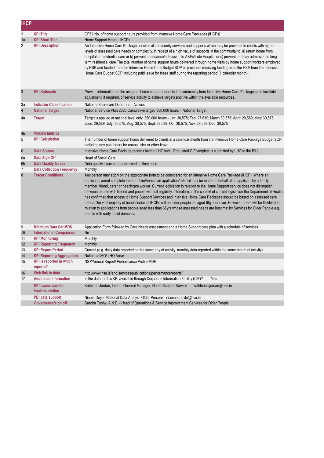|                | <b>IHCP</b>                                 |                                                                                                                                                                                                                                                                                                                                                                                                                                                                                                                                                                                                                                                                                                                                                                                                                                                                                                                                                                  |  |
|----------------|---------------------------------------------|------------------------------------------------------------------------------------------------------------------------------------------------------------------------------------------------------------------------------------------------------------------------------------------------------------------------------------------------------------------------------------------------------------------------------------------------------------------------------------------------------------------------------------------------------------------------------------------------------------------------------------------------------------------------------------------------------------------------------------------------------------------------------------------------------------------------------------------------------------------------------------------------------------------------------------------------------------------|--|
| $\mathbf{1}$   | <b>KPI Title</b>                            | OP51 No. of home support hours provided from Intensive Home Care Packages (IHCPs)                                                                                                                                                                                                                                                                                                                                                                                                                                                                                                                                                                                                                                                                                                                                                                                                                                                                                |  |
| 1a             | <b>KPI Short Title</b>                      | Home Support Hours - IHCPs                                                                                                                                                                                                                                                                                                                                                                                                                                                                                                                                                                                                                                                                                                                                                                                                                                                                                                                                       |  |
| $\overline{2}$ | <b>KPI Description</b>                      | An Intensive Home Care Package consists of community services and supports which may be provided to clients with higher<br>levels of assessed care needs or complexity, in receipt of a high value of supports in the community to: a) return home from<br>hospital or residential care or b) prevent attendance/admission to A&E/Acute Hospital or c) prevent or delay admission to long<br>term residential care The total number of home support hours delivered through home visits by home support workers employed<br>by HSE and funded from the Intensive Home Care Budget SOP or providers receiving funding from the HSE from the Intensive<br>Home Care Budget SOP including paid leave for these staff during the reporting period (1 calendar month).                                                                                                                                                                                                |  |
| $\mathfrak{Z}$ | <b>KPI Rationale</b>                        | Provide information on the usage of home support hours in the community from Intensive Home Care Packages and facilitate<br>adjustment, if required, of service activity to achieve targets and live within the available resources.                                                                                                                                                                                                                                                                                                                                                                                                                                                                                                                                                                                                                                                                                                                             |  |
| За             | <b>Indicator Classification</b>             | National Scorecard Quadrant - Access                                                                                                                                                                                                                                                                                                                                                                                                                                                                                                                                                                                                                                                                                                                                                                                                                                                                                                                             |  |
| $\overline{4}$ | <b>National Target</b>                      | National Service Plan 2020 Cumulative target: 360,000 hours - National Target.                                                                                                                                                                                                                                                                                                                                                                                                                                                                                                                                                                                                                                                                                                                                                                                                                                                                                   |  |
| 4a             | <b>Target</b>                               | Target is applied at national level only. 360,000 hours - Jan: 30,575; Feb: 27,619; March 30,575; April: 29,589; May: 30,575;<br>June: 29,589; July: 30,575; Aug: 30,575; Sept: 29,589; Oct: 30,575; Nov: 29,589; Dec: 30,575                                                                                                                                                                                                                                                                                                                                                                                                                                                                                                                                                                                                                                                                                                                                    |  |
| 4b             | <b>Volume Metrics</b>                       |                                                                                                                                                                                                                                                                                                                                                                                                                                                                                                                                                                                                                                                                                                                                                                                                                                                                                                                                                                  |  |
| 5              | <b>KPI Calculation</b>                      | The number of home support hours delivered to clients in a calendar month from the Intensive Home Care Package Budget SOP<br>including any paid hours for annual, sick or other leave.                                                                                                                                                                                                                                                                                                                                                                                                                                                                                                                                                                                                                                                                                                                                                                           |  |
| $6\phantom{1}$ | <b>Data Source</b>                          | Intensive Home Care Package records held at LHO level. Populated CIF template is submitted by LHO to the BIU.                                                                                                                                                                                                                                                                                                                                                                                                                                                                                                                                                                                                                                                                                                                                                                                                                                                    |  |
| 6a             | Data Sign Off                               | <b>Head of Social Care</b>                                                                                                                                                                                                                                                                                                                                                                                                                                                                                                                                                                                                                                                                                                                                                                                                                                                                                                                                       |  |
| 6b             | <b>Data Quality Issues</b>                  | Data quality issues are addressed as they arise.                                                                                                                                                                                                                                                                                                                                                                                                                                                                                                                                                                                                                                                                                                                                                                                                                                                                                                                 |  |
| $\overline{7}$ | <b>Data Collection Frequency</b>            | Monthly                                                                                                                                                                                                                                                                                                                                                                                                                                                                                                                                                                                                                                                                                                                                                                                                                                                                                                                                                          |  |
| 8              | <b>Tracer Conditions</b>                    | Any person may apply on the appropriate form to be considered for an Intensive Home Care Package (IHCP). Where an<br>applicant cannot complete the form him/herself an application/referral may be made on behalf of an applicant by a family<br>member, friend, carer or healthcare worker. Current legislation in relation to the Home Support service does not distinguish<br>between people with limited and people with full eligibility. Therefore, in the context of current legislation the Department of Health<br>has confirmed that access to Home Support Services and Intensive Home Care Packages should be based on assessed care<br>needs. The vast majority of beneficiaries of IHCPs will be older people i.e. aged 65yrs or over. However, there will be flexibility in<br>relation to applications from people aged less than 65yrs whose assessed needs are best met by Services for Older People e.g.<br>people with early onset dementia. |  |
| 9              | <b>Minimum Data Set MDS</b>                 | Application Form followed by Care Needs assessment and a Home Support care plan with a schedule of services.                                                                                                                                                                                                                                                                                                                                                                                                                                                                                                                                                                                                                                                                                                                                                                                                                                                     |  |
| 10             | <b>International Comparison</b>             | <b>No</b>                                                                                                                                                                                                                                                                                                                                                                                                                                                                                                                                                                                                                                                                                                                                                                                                                                                                                                                                                        |  |
| 11             | <b>KPI Monitoring</b>                       | Monthly                                                                                                                                                                                                                                                                                                                                                                                                                                                                                                                                                                                                                                                                                                                                                                                                                                                                                                                                                          |  |
| 12             | <b>KPI Reporting Frequency</b>              | Monthly                                                                                                                                                                                                                                                                                                                                                                                                                                                                                                                                                                                                                                                                                                                                                                                                                                                                                                                                                          |  |
| 13             | <b>KPI Report Period</b>                    | Current (e.g. daily data reported on the same day of activity, monthly data reported within the same month of activity)                                                                                                                                                                                                                                                                                                                                                                                                                                                                                                                                                                                                                                                                                                                                                                                                                                          |  |
| 14             | <b>KPI Reporting Aggregation</b>            | National/CHO/ LHO Area/                                                                                                                                                                                                                                                                                                                                                                                                                                                                                                                                                                                                                                                                                                                                                                                                                                                                                                                                          |  |
| 15             | <b>KPI</b> is reported in which<br>reports? | NSP/Annual Report/ Performance Profile/MDR                                                                                                                                                                                                                                                                                                                                                                                                                                                                                                                                                                                                                                                                                                                                                                                                                                                                                                                       |  |
| 16             | Web link to data                            | http://www.hse.ie/eng/services/publications/performancereports/                                                                                                                                                                                                                                                                                                                                                                                                                                                                                                                                                                                                                                                                                                                                                                                                                                                                                                  |  |
| 17             | <b>Additional Information</b>               | Is the data for this KPI available through Corporate Information Facility (CIF)?<br>Yes                                                                                                                                                                                                                                                                                                                                                                                                                                                                                                                                                                                                                                                                                                                                                                                                                                                                          |  |
|                | <b>KPI owner/lead for</b><br>implementation | Kathleen Jordan, Interim General Manager, Home Support Service<br>kathleenc.jordan@hse.ie                                                                                                                                                                                                                                                                                                                                                                                                                                                                                                                                                                                                                                                                                                                                                                                                                                                                        |  |
|                | PBI data support                            | Niamh Doyle, National Data Analyst, Older Persons niamhm.doyle@hse.ie                                                                                                                                                                                                                                                                                                                                                                                                                                                                                                                                                                                                                                                                                                                                                                                                                                                                                            |  |
|                | Governance/sign off                         | Sandra Tuohy, A.N.D. - Head of Operations & Service Improvement Services for Older People                                                                                                                                                                                                                                                                                                                                                                                                                                                                                                                                                                                                                                                                                                                                                                                                                                                                        |  |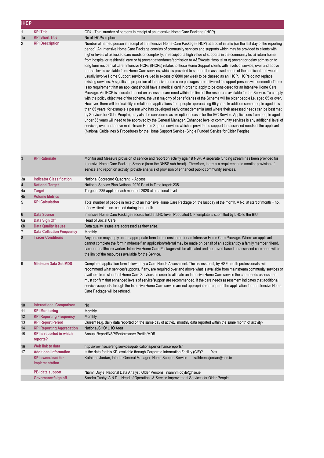| <b>IHCP</b> |                                             |                                                                                                                                                                                                                                                                                                                                                                                                                                                                                                                                                                                                                                                                                                                                                                                                                                                                                                                                                                                                                                                                                                                                                                                                                                                                                                                                                                                                                                                                                                                                                                                                                                                                                                                                                                                                                                                                                                                                                                                                                                                                                                                                                                                                                                                                 |
|-------------|---------------------------------------------|-----------------------------------------------------------------------------------------------------------------------------------------------------------------------------------------------------------------------------------------------------------------------------------------------------------------------------------------------------------------------------------------------------------------------------------------------------------------------------------------------------------------------------------------------------------------------------------------------------------------------------------------------------------------------------------------------------------------------------------------------------------------------------------------------------------------------------------------------------------------------------------------------------------------------------------------------------------------------------------------------------------------------------------------------------------------------------------------------------------------------------------------------------------------------------------------------------------------------------------------------------------------------------------------------------------------------------------------------------------------------------------------------------------------------------------------------------------------------------------------------------------------------------------------------------------------------------------------------------------------------------------------------------------------------------------------------------------------------------------------------------------------------------------------------------------------------------------------------------------------------------------------------------------------------------------------------------------------------------------------------------------------------------------------------------------------------------------------------------------------------------------------------------------------------------------------------------------------------------------------------------------------|
| 1           | <b>KPI Title</b>                            | OP4 - Total number of persons in receipt of an Intensive Home Care Package (IHCP)                                                                                                                                                                                                                                                                                                                                                                                                                                                                                                                                                                                                                                                                                                                                                                                                                                                                                                                                                                                                                                                                                                                                                                                                                                                                                                                                                                                                                                                                                                                                                                                                                                                                                                                                                                                                                                                                                                                                                                                                                                                                                                                                                                               |
| 1a          | <b>KPI Short Title</b>                      | No of IHCPs in place                                                                                                                                                                                                                                                                                                                                                                                                                                                                                                                                                                                                                                                                                                                                                                                                                                                                                                                                                                                                                                                                                                                                                                                                                                                                                                                                                                                                                                                                                                                                                                                                                                                                                                                                                                                                                                                                                                                                                                                                                                                                                                                                                                                                                                            |
| 2           | <b>KPI Description</b>                      | Number of named person in receipt of an Intensive Home Care Package (IHCP) at a point in time (on the last day of the reporting<br>period). An Intensive Home Care Package consists of community services and supports which may be provided to clients with<br>higher levels of assessed care needs or complexity, in receipt of a high value of supports in the community to: a) return home<br>from hospital or residential care or b) prevent attendance/admission to A&E/Acute Hospital or c) prevent or delay admission to<br>long term residential care. Intensive HCPs (IHCPs) relates to those Home Support clients with levels of service, over and above<br>normal levels available from Home Care services, which is provided to support the assessed needs of the applicant and would<br>usually involve Home Support services valued in excess of €800 per week to be classed as an IHCP. IHCPs do not replace<br>existing services. A significant proportion of Intensive home care packages are delivered to support persons with dementia. There<br>is no requirement that an applicant should have a medical card in order to apply to be considered for an Intensive Home Care<br>Package. An IHCP is allocated based on assessed care need within the limit of the resources available for the Service. To comply<br>with the policy objectives of the scheme, the vast majority of beneficiaries of the Scheme will be older people i.e. aged 65 or over.<br>However, there will be flexibility in relation to applications from people approaching 65 years. In addition some people aged less<br>than 65 years, for example a person who has developed early onset dementia (and where their assessed needs can be best met<br>by Services for Older People), may also be considered as exceptional cases for the IHC Service. Applications from people aged<br>under 65 years will need to be approved by the General Manager. Enhanced level of community services is any additional level of<br>services, over and above mainstream Home Support services which is provided to support the assessed needs of the applicant<br>(National Guidelines & Procedures for the Home Support Service (Single Funded Service for Older People) |
| 3           | <b>KPI Rationale</b>                        | Monitor and Measure provision of service and report on activity against NSP. A separate funding stream has been provided for<br>Intensive Home Care Package Service (from the NHSS sub-head). Therefore, there is a requirement to monitor provision of<br>service and report on activity; provide analysis of provision of enhanced public community services.                                                                                                                                                                                                                                                                                                                                                                                                                                                                                                                                                                                                                                                                                                                                                                                                                                                                                                                                                                                                                                                                                                                                                                                                                                                                                                                                                                                                                                                                                                                                                                                                                                                                                                                                                                                                                                                                                                 |
| За          | <b>Indicator Classification</b>             | National Scorecard Quadrant - Access                                                                                                                                                                                                                                                                                                                                                                                                                                                                                                                                                                                                                                                                                                                                                                                                                                                                                                                                                                                                                                                                                                                                                                                                                                                                                                                                                                                                                                                                                                                                                                                                                                                                                                                                                                                                                                                                                                                                                                                                                                                                                                                                                                                                                            |
| 4           | <b>National Target</b>                      | National Service Plan National 2020 Point in Time target: 235.                                                                                                                                                                                                                                                                                                                                                                                                                                                                                                                                                                                                                                                                                                                                                                                                                                                                                                                                                                                                                                                                                                                                                                                                                                                                                                                                                                                                                                                                                                                                                                                                                                                                                                                                                                                                                                                                                                                                                                                                                                                                                                                                                                                                  |
| 4a          | <b>Target</b>                               | Target of 235 applied each month of 2020 at a national level                                                                                                                                                                                                                                                                                                                                                                                                                                                                                                                                                                                                                                                                                                                                                                                                                                                                                                                                                                                                                                                                                                                                                                                                                                                                                                                                                                                                                                                                                                                                                                                                                                                                                                                                                                                                                                                                                                                                                                                                                                                                                                                                                                                                    |
| 4b          | <b>Volume Metrics</b>                       |                                                                                                                                                                                                                                                                                                                                                                                                                                                                                                                                                                                                                                                                                                                                                                                                                                                                                                                                                                                                                                                                                                                                                                                                                                                                                                                                                                                                                                                                                                                                                                                                                                                                                                                                                                                                                                                                                                                                                                                                                                                                                                                                                                                                                                                                 |
| 5           | <b>KPI Calculation</b>                      | Total number of people in receipt of an Intensive Home Care Package on the last day of the month. = No. at start of month + no.<br>of new clients - no. ceased during the month                                                                                                                                                                                                                                                                                                                                                                                                                                                                                                                                                                                                                                                                                                                                                                                                                                                                                                                                                                                                                                                                                                                                                                                                                                                                                                                                                                                                                                                                                                                                                                                                                                                                                                                                                                                                                                                                                                                                                                                                                                                                                 |
| 6           | <b>Data Source</b>                          | Intensive Home Care Package records held at LHO level. Populated CIF template is submitted by LHO to the BIU.                                                                                                                                                                                                                                                                                                                                                                                                                                                                                                                                                                                                                                                                                                                                                                                                                                                                                                                                                                                                                                                                                                                                                                                                                                                                                                                                                                                                                                                                                                                                                                                                                                                                                                                                                                                                                                                                                                                                                                                                                                                                                                                                                   |
| 6a          | Data Sign Off                               | <b>Head of Social Care</b>                                                                                                                                                                                                                                                                                                                                                                                                                                                                                                                                                                                                                                                                                                                                                                                                                                                                                                                                                                                                                                                                                                                                                                                                                                                                                                                                                                                                                                                                                                                                                                                                                                                                                                                                                                                                                                                                                                                                                                                                                                                                                                                                                                                                                                      |
| 6b          | <b>Data Quality Issues</b>                  | Data quality issues are addressed as they arise.                                                                                                                                                                                                                                                                                                                                                                                                                                                                                                                                                                                                                                                                                                                                                                                                                                                                                                                                                                                                                                                                                                                                                                                                                                                                                                                                                                                                                                                                                                                                                                                                                                                                                                                                                                                                                                                                                                                                                                                                                                                                                                                                                                                                                |
| 7           | <b>Data Collection Frequency</b>            | Monthly                                                                                                                                                                                                                                                                                                                                                                                                                                                                                                                                                                                                                                                                                                                                                                                                                                                                                                                                                                                                                                                                                                                                                                                                                                                                                                                                                                                                                                                                                                                                                                                                                                                                                                                                                                                                                                                                                                                                                                                                                                                                                                                                                                                                                                                         |
| 8           | <b>Tracer Conditions</b>                    | Any person may apply on the appropriate form to be considered for an Intensive Home Care Package. Where an applicant<br>cannot complete the form him/herself an application/referral may be made on behalf of an applicant by a family member, friend,<br>carer or healthcare worker. Intensive Home Care Packages will be allocated and approved based on assessed care need within<br>the limit of the resources available for the Service.                                                                                                                                                                                                                                                                                                                                                                                                                                                                                                                                                                                                                                                                                                                                                                                                                                                                                                                                                                                                                                                                                                                                                                                                                                                                                                                                                                                                                                                                                                                                                                                                                                                                                                                                                                                                                   |
| 9           | <b>Minimum Data Set MDS</b>                 | Completed application form followed by a Care Needs Assessment. The assessment, by HSE health professionals will<br>recommend what services/supports, if any, are required over and above what is available from mainstream community services or<br>available from standard Home Care Services. In order to allocate an Intensive Home Care service the care needs assessment<br>must confirm that enhanced levels of service/support are recommended. If the care needs assessment indicates that additional<br>services/supports through the Intensive Home Care service are not appropriate or required the application for an Intensive Home<br>Care Package will be refused.                                                                                                                                                                                                                                                                                                                                                                                                                                                                                                                                                                                                                                                                                                                                                                                                                                                                                                                                                                                                                                                                                                                                                                                                                                                                                                                                                                                                                                                                                                                                                                              |
| 10          | <b>International Comparison</b>             | No                                                                                                                                                                                                                                                                                                                                                                                                                                                                                                                                                                                                                                                                                                                                                                                                                                                                                                                                                                                                                                                                                                                                                                                                                                                                                                                                                                                                                                                                                                                                                                                                                                                                                                                                                                                                                                                                                                                                                                                                                                                                                                                                                                                                                                                              |
| 11          | <b>KPI Monitoring</b>                       | Monthly                                                                                                                                                                                                                                                                                                                                                                                                                                                                                                                                                                                                                                                                                                                                                                                                                                                                                                                                                                                                                                                                                                                                                                                                                                                                                                                                                                                                                                                                                                                                                                                                                                                                                                                                                                                                                                                                                                                                                                                                                                                                                                                                                                                                                                                         |
| 12          | <b>KPI Reporting Frequency</b>              | Monthly                                                                                                                                                                                                                                                                                                                                                                                                                                                                                                                                                                                                                                                                                                                                                                                                                                                                                                                                                                                                                                                                                                                                                                                                                                                                                                                                                                                                                                                                                                                                                                                                                                                                                                                                                                                                                                                                                                                                                                                                                                                                                                                                                                                                                                                         |
| 13          | <b>KPI Report Period</b>                    | Current (e.g. daily data reported on the same day of activity, monthly data reported within the same month of activity)                                                                                                                                                                                                                                                                                                                                                                                                                                                                                                                                                                                                                                                                                                                                                                                                                                                                                                                                                                                                                                                                                                                                                                                                                                                                                                                                                                                                                                                                                                                                                                                                                                                                                                                                                                                                                                                                                                                                                                                                                                                                                                                                         |
| 14          | <b>KPI Reporting Aggregation</b>            | National/CHO/ LHO Area                                                                                                                                                                                                                                                                                                                                                                                                                                                                                                                                                                                                                                                                                                                                                                                                                                                                                                                                                                                                                                                                                                                                                                                                                                                                                                                                                                                                                                                                                                                                                                                                                                                                                                                                                                                                                                                                                                                                                                                                                                                                                                                                                                                                                                          |
| 15          | KPI is reported in which<br>reports?        | Annual Report/NSP/Performance Profile/MDR                                                                                                                                                                                                                                                                                                                                                                                                                                                                                                                                                                                                                                                                                                                                                                                                                                                                                                                                                                                                                                                                                                                                                                                                                                                                                                                                                                                                                                                                                                                                                                                                                                                                                                                                                                                                                                                                                                                                                                                                                                                                                                                                                                                                                       |
| 16          | Web link to data                            | http://www.hse.ie/eng/services/publications/performancereports/                                                                                                                                                                                                                                                                                                                                                                                                                                                                                                                                                                                                                                                                                                                                                                                                                                                                                                                                                                                                                                                                                                                                                                                                                                                                                                                                                                                                                                                                                                                                                                                                                                                                                                                                                                                                                                                                                                                                                                                                                                                                                                                                                                                                 |
| 17          | <b>Additional Information</b>               | Is the data for this KPI available through Corporate Information Facility (CIF)?<br>Yes                                                                                                                                                                                                                                                                                                                                                                                                                                                                                                                                                                                                                                                                                                                                                                                                                                                                                                                                                                                                                                                                                                                                                                                                                                                                                                                                                                                                                                                                                                                                                                                                                                                                                                                                                                                                                                                                                                                                                                                                                                                                                                                                                                         |
|             | <b>KPI owner/lead for</b><br>implementation | Kathleen Jordan, Interim General Manager, Home Support Service<br>kathleenc.jordan@hse.ie                                                                                                                                                                                                                                                                                                                                                                                                                                                                                                                                                                                                                                                                                                                                                                                                                                                                                                                                                                                                                                                                                                                                                                                                                                                                                                                                                                                                                                                                                                                                                                                                                                                                                                                                                                                                                                                                                                                                                                                                                                                                                                                                                                       |
|             | PBI data support                            | Niamh Doyle, National Data Analyst, Older Persons niamhm.doyle@hse.ie                                                                                                                                                                                                                                                                                                                                                                                                                                                                                                                                                                                                                                                                                                                                                                                                                                                                                                                                                                                                                                                                                                                                                                                                                                                                                                                                                                                                                                                                                                                                                                                                                                                                                                                                                                                                                                                                                                                                                                                                                                                                                                                                                                                           |
|             | Governance/sign off                         | Sandra Tuohy, A.N.D. - Head of Operations & Service Improvement Services for Older People                                                                                                                                                                                                                                                                                                                                                                                                                                                                                                                                                                                                                                                                                                                                                                                                                                                                                                                                                                                                                                                                                                                                                                                                                                                                                                                                                                                                                                                                                                                                                                                                                                                                                                                                                                                                                                                                                                                                                                                                                                                                                                                                                                       |
|             |                                             |                                                                                                                                                                                                                                                                                                                                                                                                                                                                                                                                                                                                                                                                                                                                                                                                                                                                                                                                                                                                                                                                                                                                                                                                                                                                                                                                                                                                                                                                                                                                                                                                                                                                                                                                                                                                                                                                                                                                                                                                                                                                                                                                                                                                                                                                 |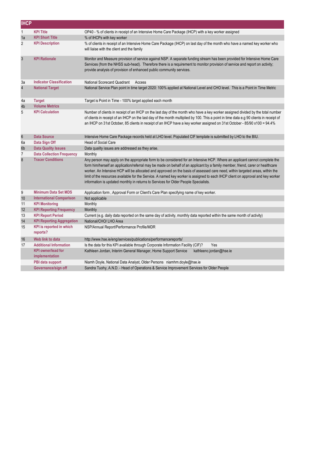| <b>IHCP</b>    |                                             |                                                                                                                                                                                                                                                                                                                                                                                                                                                                                                                                                                                                                         |  |
|----------------|---------------------------------------------|-------------------------------------------------------------------------------------------------------------------------------------------------------------------------------------------------------------------------------------------------------------------------------------------------------------------------------------------------------------------------------------------------------------------------------------------------------------------------------------------------------------------------------------------------------------------------------------------------------------------------|--|
| $\mathbf{1}$   | <b>KPI Title</b>                            | OP40 - % of clients in receipt of an Intensive Home Care Package (IHCP) with a key worker assigned                                                                                                                                                                                                                                                                                                                                                                                                                                                                                                                      |  |
| 1a             | <b>KPI Short Title</b>                      | % of IHCPs with key worker                                                                                                                                                                                                                                                                                                                                                                                                                                                                                                                                                                                              |  |
| $\overline{2}$ | <b>KPI Description</b>                      | % of clients in receipt of an Intensive Home Care Package (IHCP) on last day of the month who have a named key worker who<br>will liaise with the client and the family                                                                                                                                                                                                                                                                                                                                                                                                                                                 |  |
| 3              | <b>KPI Rationale</b>                        | Monitor and Measure provision of service against NSP. A separate funding stream has been provided for Intensive Home Care<br>Services (from the NHSS sub-head). Therefore there is a requirement to monitor provision of service and report on activity;<br>provide analysis of provision of enhanced public community services.                                                                                                                                                                                                                                                                                        |  |
| За             | <b>Indicator Classification</b>             | National Scorecard Quadrant<br>Access                                                                                                                                                                                                                                                                                                                                                                                                                                                                                                                                                                                   |  |
| $\overline{4}$ | <b>National Target</b>                      | National Service Plan point in time target 2020: 100% applied at National Level and CHO level. This is a Point in Time Metric                                                                                                                                                                                                                                                                                                                                                                                                                                                                                           |  |
| 4a             | <b>Target</b>                               | Target is Point in Time - 100% target applied each month                                                                                                                                                                                                                                                                                                                                                                                                                                                                                                                                                                |  |
| 4b             | <b>Volume Metrics</b>                       |                                                                                                                                                                                                                                                                                                                                                                                                                                                                                                                                                                                                                         |  |
| 5              | <b>KPI Calculation</b>                      | Number of clients in receipt of an IHCP on the last day of the month who have a key worker assigned divided by the total number<br>of clients in receipt of an IHCP on the last day of the month multiplied by 100. This a point in time data e.g 90 clients in receipt of<br>an IHCP on 31st October, 85 clients in receipt of an IHCP have a key worker assigned on 31st October - 85/90 x100 = 94.4%                                                                                                                                                                                                                 |  |
| $6\phantom{1}$ | <b>Data Source</b>                          | Intensive Home Care Package records held at LHO level. Populated CIF template is submitted by LHO to the BIU.                                                                                                                                                                                                                                                                                                                                                                                                                                                                                                           |  |
| 6а             | Data Sign Off                               | <b>Head of Social Care</b>                                                                                                                                                                                                                                                                                                                                                                                                                                                                                                                                                                                              |  |
| 6b             | <b>Data Quality Issues</b>                  | Data quality issues are addressed as they arise.                                                                                                                                                                                                                                                                                                                                                                                                                                                                                                                                                                        |  |
| $\overline{7}$ | <b>Data Collection Frequency</b>            | Monthly                                                                                                                                                                                                                                                                                                                                                                                                                                                                                                                                                                                                                 |  |
| 8              | <b>Tracer Conditions</b>                    | Any person may apply on the appropriate form to be considered for an Intensive HCP. Where an applicant cannot complete the<br>form him/herself an application/referral may be made on behalf of an applicant by a family member, friend, carer or healthcare<br>worker. An Intensive HCP will be allocated and approved on the basis of assessed care need, within targeted areas, within the<br>limit of the resources available for the Service. A named key worker is assigned to each IHCP client on approval and key worker<br>information is updated monthly in returns to Services for Older People Specialists. |  |
| 9              | <b>Minimum Data Set MDS</b>                 | Application form, Approval Form or Client's Care Plan specifying name of key worker.                                                                                                                                                                                                                                                                                                                                                                                                                                                                                                                                    |  |
| 10             | <b>International Comparison</b>             | Not applicable                                                                                                                                                                                                                                                                                                                                                                                                                                                                                                                                                                                                          |  |
| 11             | <b>KPI Monitoring</b>                       | Monthly                                                                                                                                                                                                                                                                                                                                                                                                                                                                                                                                                                                                                 |  |
| 12             | <b>KPI Reporting Frequency</b>              | Monthly                                                                                                                                                                                                                                                                                                                                                                                                                                                                                                                                                                                                                 |  |
| 13             | <b>KPI Report Period</b>                    | Current (e.g. daily data reported on the same day of activity, monthly data reported within the same month of activity)                                                                                                                                                                                                                                                                                                                                                                                                                                                                                                 |  |
| 14             | <b>KPI Reporting Aggregation</b>            | National/CHO/LHO Area                                                                                                                                                                                                                                                                                                                                                                                                                                                                                                                                                                                                   |  |
| 15             | KPI is reported in which<br>reports?        | NSP/Annual Report/Performance Profile/MDR                                                                                                                                                                                                                                                                                                                                                                                                                                                                                                                                                                               |  |
| 16             | Web link to data                            | http://www.hse.ie/eng/services/publications/performancereports/                                                                                                                                                                                                                                                                                                                                                                                                                                                                                                                                                         |  |
| 17             | <b>Additional Information</b>               | Is the data for this KPI available through Corporate Information Facility (CIF)?<br>Yes                                                                                                                                                                                                                                                                                                                                                                                                                                                                                                                                 |  |
|                | <b>KPI</b> owner/lead for<br>implementation | Kathleen Jordan, Interim General Manager, Home Support Service<br>kathleenc.jordan@hse.ie                                                                                                                                                                                                                                                                                                                                                                                                                                                                                                                               |  |
|                | PBI data support                            | Niamh Doyle, National Data Analyst, Older Persons niamhm.doyle@hse.ie                                                                                                                                                                                                                                                                                                                                                                                                                                                                                                                                                   |  |
|                | Governance/sign off                         | Sandra Tuohy, A.N.D. - Head of Operations & Service Improvement Services for Older People                                                                                                                                                                                                                                                                                                                                                                                                                                                                                                                               |  |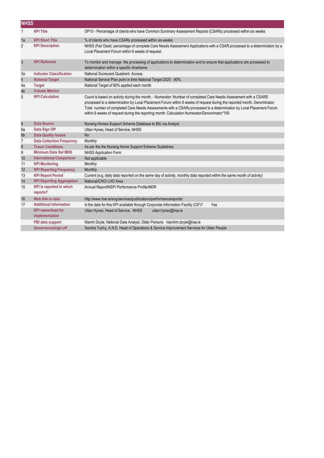|                  | <b>NHSS</b>                                 |                                                                                                                                                                                                                                                                                                                                                                                                                                                                    |  |  |
|------------------|---------------------------------------------|--------------------------------------------------------------------------------------------------------------------------------------------------------------------------------------------------------------------------------------------------------------------------------------------------------------------------------------------------------------------------------------------------------------------------------------------------------------------|--|--|
| $\mathbf{1}$     | <b>KPI Title</b>                            | OP10 - Percentage of clients who have Common Summary Assessment Reports (CSARs) processed within six weeks                                                                                                                                                                                                                                                                                                                                                         |  |  |
| 1a               | <b>KPI Short Title</b>                      | % of clients who have CSARs processed within six weeks                                                                                                                                                                                                                                                                                                                                                                                                             |  |  |
| 2                | <b>KPI Description</b>                      | NHSS (Fair Deal): percentage of complete Care Needs Assessment Applications with a CSAR processed to a determination by a<br>Local Placement Forum within 6 weeks of request.                                                                                                                                                                                                                                                                                      |  |  |
| 3                | <b>KPI Rationale</b>                        | To monitor and manage the processing of applications to determination and to ensure that applications are processed to<br>determination within a specific timeframe.                                                                                                                                                                                                                                                                                               |  |  |
| За               | <b>Indicator Classification</b>             | National Scorecard Quadrant Access                                                                                                                                                                                                                                                                                                                                                                                                                                 |  |  |
| $\overline{4}$   | <b>National Target</b>                      | National Service Plan point in time National Target 2020 - 90%.                                                                                                                                                                                                                                                                                                                                                                                                    |  |  |
| 4a               | <b>Target</b>                               | National Target of 90% applied each month                                                                                                                                                                                                                                                                                                                                                                                                                          |  |  |
| 4b               | <b>Volume Metrics</b>                       |                                                                                                                                                                                                                                                                                                                                                                                                                                                                    |  |  |
| 5                | <b>KPI Calculation</b>                      | Count is based on activity during the month. - Numerator : Number of completed Care Needs Assessment with a CSARS<br>processed to a determination by Local Placement Forum within 6 weeks of request during the reported month. Denominator:<br>Total number of completed Care Needs Assessments with a CSARs processed to a determination by Local Placement Forum<br>within 6 weeks of request during the reporting month. Calculation Numerator/Denominator*100 |  |  |
| $\boldsymbol{6}$ | <b>Data Source</b>                          | Nursing Homes Support Scheme Database to BIU via Analyst                                                                                                                                                                                                                                                                                                                                                                                                           |  |  |
| 6a               | Data Sign Off                               | Ultan Hynes, Head of Service, NHSS                                                                                                                                                                                                                                                                                                                                                                                                                                 |  |  |
| 6b               | <b>Data Quality Issues</b>                  | <b>No</b>                                                                                                                                                                                                                                                                                                                                                                                                                                                          |  |  |
| $\overline{7}$   | <b>Data Collection Frequency</b>            | Monthly                                                                                                                                                                                                                                                                                                                                                                                                                                                            |  |  |
| $\boldsymbol{8}$ | <b>Tracer Conditions</b>                    | As per the the Nursing Home Support Scheme Guidelines                                                                                                                                                                                                                                                                                                                                                                                                              |  |  |
| 9                | <b>Minimum Data Set MDS</b>                 | <b>NHSS Application Form</b>                                                                                                                                                                                                                                                                                                                                                                                                                                       |  |  |
| 10               | <b>International Comparison</b>             | Not applicable                                                                                                                                                                                                                                                                                                                                                                                                                                                     |  |  |
| 11               | <b>KPI Monitoring</b>                       | Monthly                                                                                                                                                                                                                                                                                                                                                                                                                                                            |  |  |
| 12               | <b>KPI Reporting Frequency</b>              | Monthly                                                                                                                                                                                                                                                                                                                                                                                                                                                            |  |  |
| 13               | <b>KPI Report Period</b>                    | Current (e.g. daily data reported on the same day of activity, monthly data reported within the same month of activity)                                                                                                                                                                                                                                                                                                                                            |  |  |
| 14               | <b>KPI Reporting Aggregation</b>            | National/CHO/ LHO Area                                                                                                                                                                                                                                                                                                                                                                                                                                             |  |  |
| 15               | <b>KPI</b> is reported in which<br>reports? | Annual Report/NSP/ Performance Profile/MDR                                                                                                                                                                                                                                                                                                                                                                                                                         |  |  |
| 16               | Web link to data                            | http://www.hse.ie/eng/services/publications/performancereports/                                                                                                                                                                                                                                                                                                                                                                                                    |  |  |
| 17               | <b>Additional Information</b>               | Is the data for this KPI available through Corporate Information Facility (CIF)?<br>Yes                                                                                                                                                                                                                                                                                                                                                                            |  |  |
|                  | <b>KPI owner/lead for</b><br>implementation | Ultan Hynes, Head of Service, NHSS<br>ultan.hynes@hse.ie                                                                                                                                                                                                                                                                                                                                                                                                           |  |  |
|                  | PBI data support                            | Niamh Doyle, National Data Analyst, Older Persons niamhm.doyle@hse.ie                                                                                                                                                                                                                                                                                                                                                                                              |  |  |
|                  | Governance/sign off                         | Sandra Tuohy, A.N.D. Head of Operations & Service Improvement Services for Older People                                                                                                                                                                                                                                                                                                                                                                            |  |  |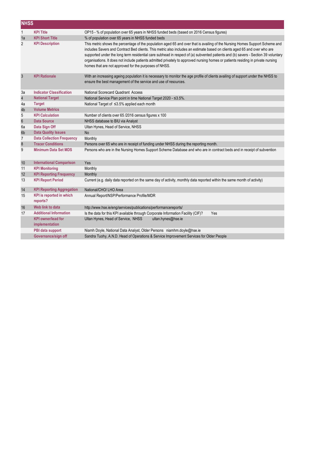|                  | <b>NHSS</b>                                 |                                                                                                                                                                                                                                                                                                                                                                                                                                                                                                                                                                                             |  |
|------------------|---------------------------------------------|---------------------------------------------------------------------------------------------------------------------------------------------------------------------------------------------------------------------------------------------------------------------------------------------------------------------------------------------------------------------------------------------------------------------------------------------------------------------------------------------------------------------------------------------------------------------------------------------|--|
| $\mathbf{1}$     | <b>KPI Title</b>                            | OP15 - % of population over 65 years in NHSS funded beds (based on 2016 Census figures)                                                                                                                                                                                                                                                                                                                                                                                                                                                                                                     |  |
| 1a               | <b>KPI Short Title</b>                      | % of population over 65 years in NHSS funded beds                                                                                                                                                                                                                                                                                                                                                                                                                                                                                                                                           |  |
| $\overline{2}$   | <b>KPI Description</b>                      | This metric shows the percentage of the population aged 65 and over that is availing of the Nursing Homes Support Scheme and<br>includes Savers and Contract Bed clients. This metric also includes an estimate based on clients aged 65 and over who are<br>supported under the long term residential care subhead in respect of (a) subvented patients and (b) savers - Section 39 voluntary<br>organisations. It does not include patients admitted privately to approved nursing homes or patients residing in private nursing<br>homes that are not approved for the purposes of NHSS. |  |
| 3                | <b>KPI Rationale</b>                        | With an increasing ageing population it is necessary to monitor the age profile of clients availing of support under the NHSS to<br>ensure the best management of the service and use of resources.                                                                                                                                                                                                                                                                                                                                                                                         |  |
| 3a               | <b>Indicator Classification</b>             | National Scorecard Quadrant Access                                                                                                                                                                                                                                                                                                                                                                                                                                                                                                                                                          |  |
| $\overline{4}$   | <b>National Target</b>                      | National Service Plan point in time National Target 2020 - ≤3.5%.                                                                                                                                                                                                                                                                                                                                                                                                                                                                                                                           |  |
| 4a               | <b>Target</b>                               | National Target of ≤3.5% applied each month                                                                                                                                                                                                                                                                                                                                                                                                                                                                                                                                                 |  |
| 4b               | <b>Volume Metrics</b>                       |                                                                                                                                                                                                                                                                                                                                                                                                                                                                                                                                                                                             |  |
| 5                | <b>KPI Calculation</b>                      | Number of clients over 65 /2016 census figures x 100                                                                                                                                                                                                                                                                                                                                                                                                                                                                                                                                        |  |
| $\boldsymbol{6}$ | <b>Data Source</b>                          | NHSS database to BIU via Analyst                                                                                                                                                                                                                                                                                                                                                                                                                                                                                                                                                            |  |
| 6a               | Data Sign Off                               | Ultan Hynes, Head of Service, NHSS                                                                                                                                                                                                                                                                                                                                                                                                                                                                                                                                                          |  |
| 6 <sub>b</sub>   | <b>Data Quality Issues</b>                  | <b>No</b>                                                                                                                                                                                                                                                                                                                                                                                                                                                                                                                                                                                   |  |
| $\overline{7}$   | <b>Data Collection Frequency</b>            | Monthly                                                                                                                                                                                                                                                                                                                                                                                                                                                                                                                                                                                     |  |
| $\bf 8$          | <b>Tracer Conditions</b>                    | Persons over 65 who are in receipt of funding under NHSS during the reporting month.                                                                                                                                                                                                                                                                                                                                                                                                                                                                                                        |  |
| 9                | <b>Minimum Data Set MDS</b>                 | Persons who are in the Nursing Homes Support Scheme Database and who are in contract beds and in receipt of subvention                                                                                                                                                                                                                                                                                                                                                                                                                                                                      |  |
| 10               | <b>International Comparison</b>             | Yes                                                                                                                                                                                                                                                                                                                                                                                                                                                                                                                                                                                         |  |
| 11               | <b>KPI Monitoring</b>                       | Monthly                                                                                                                                                                                                                                                                                                                                                                                                                                                                                                                                                                                     |  |
| 12               | <b>KPI Reporting Frequency</b>              | Monthly                                                                                                                                                                                                                                                                                                                                                                                                                                                                                                                                                                                     |  |
| 13               | <b>KPI Report Period</b>                    | Current (e.g. daily data reported on the same day of activity, monthly data reported within the same month of activity)                                                                                                                                                                                                                                                                                                                                                                                                                                                                     |  |
| 14               | <b>KPI Reporting Aggregation</b>            | National/CHO/ LHO Area                                                                                                                                                                                                                                                                                                                                                                                                                                                                                                                                                                      |  |
| 15               | <b>KPI</b> is reported in which<br>reports? | Annual Report/NSP/Performance Profile/MDR                                                                                                                                                                                                                                                                                                                                                                                                                                                                                                                                                   |  |
| 16               | Web link to data                            | http://www.hse.ie/eng/services/publications/performancereports/                                                                                                                                                                                                                                                                                                                                                                                                                                                                                                                             |  |
| 17               | <b>Additional Information</b>               | Is the data for this KPI available through Corporate Information Facility (CIF)?<br>Yes                                                                                                                                                                                                                                                                                                                                                                                                                                                                                                     |  |
|                  | <b>KPI</b> owner/lead for<br>implementation | Ultan Hynes, Head of Service, NHSS<br>ultan.hynes@hse.ie                                                                                                                                                                                                                                                                                                                                                                                                                                                                                                                                    |  |
|                  | PBI data support                            | Niamh Doyle, National Data Analyst, Older Persons niamhm.doyle@hse.ie                                                                                                                                                                                                                                                                                                                                                                                                                                                                                                                       |  |
|                  | Governance/sign off                         | Sandra Tuohy, A.N.D. Head of Operations & Service Improvement Services for Older People                                                                                                                                                                                                                                                                                                                                                                                                                                                                                                     |  |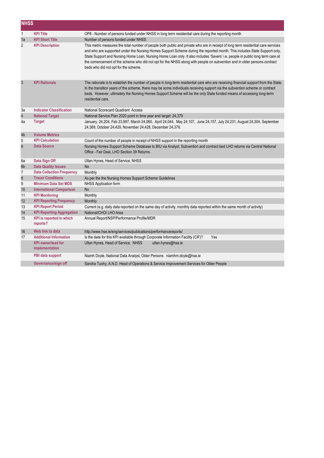| <b>NHSS</b>    |                                             |                                                                                                                                                                                                                                                                                                                                                                                                                                                                                                                                                                      |
|----------------|---------------------------------------------|----------------------------------------------------------------------------------------------------------------------------------------------------------------------------------------------------------------------------------------------------------------------------------------------------------------------------------------------------------------------------------------------------------------------------------------------------------------------------------------------------------------------------------------------------------------------|
| $\mathbf{1}$   | <b>KPI Title</b>                            | OP8 - Number of persons funded under NHSS in long term residential care during the reporting month                                                                                                                                                                                                                                                                                                                                                                                                                                                                   |
| 1a             | <b>KPI Short Title</b>                      | Number of persons funded under NHSS                                                                                                                                                                                                                                                                                                                                                                                                                                                                                                                                  |
| $\overline{2}$ | <b>KPI Description</b>                      | This metric measures the total number of people both public and private who are in receipt of long term residential care services<br>and who are supported under the Nursing Homes Support Scheme during the reported month. This includes State Support only,<br>State Support and Nursing Home Loan, Nursing Home Loan only. It also includes 'Savers' i.e. people in public long term care at<br>the comencement of the scheme who did not opt for the NHSS along with people on subvention and in older persons contract<br>beds who did not opt for the scheme. |
| 3              | <b>KPI Rationale</b>                        | The rationale is to establish the number of people in long-term residential care who are receiving financial support from the State.<br>In the transition years of the scheme, there may be some individuals receiving support via the subvention scheme or contract<br>beds. However, ultimately the Nursing Homes Support Scheme will be the only State funded means of accessing long-term<br>residential care.                                                                                                                                                   |
| За             | <b>Indicator Classification</b>             | National Scorecard Quadrant Access                                                                                                                                                                                                                                                                                                                                                                                                                                                                                                                                   |
| $\overline{4}$ | <b>National Target</b>                      | National Service Plan 2020 point in time year end target: 24,379                                                                                                                                                                                                                                                                                                                                                                                                                                                                                                     |
| 4a             | <b>Target</b>                               | January, 24,204, Feb 23,997, March 24,060, April 24,044, May 24,107, June 24,157, July 24,231, August 24,304, September<br>24,369, October 24,429, November 24,428, December 24,379.                                                                                                                                                                                                                                                                                                                                                                                 |
| 4b             | <b>Volume Metrics</b>                       |                                                                                                                                                                                                                                                                                                                                                                                                                                                                                                                                                                      |
| 5              | <b>KPI Calculation</b>                      | Count of the number of people in receipt of NHSS support in the reporting month                                                                                                                                                                                                                                                                                                                                                                                                                                                                                      |
| $6\phantom{1}$ | <b>Data Source</b>                          | Nursing Homes Support Scheme Database to BIU via Analyst. Subvention and contract bed LHO returns via Central National<br>Office - Fair Deal, LHO Section 39 Returns.                                                                                                                                                                                                                                                                                                                                                                                                |
| 6a             | Data Sign Off                               | Ultan Hynes, Head of Service, NHSS                                                                                                                                                                                                                                                                                                                                                                                                                                                                                                                                   |
| 6b             | <b>Data Quality Issues</b>                  | No                                                                                                                                                                                                                                                                                                                                                                                                                                                                                                                                                                   |
| $\overline{7}$ | <b>Data Collection Frequency</b>            | Monthly                                                                                                                                                                                                                                                                                                                                                                                                                                                                                                                                                              |
| $\bf 8$        | <b>Tracer Conditions</b>                    | As per the the Nursing Homes Support Scheme Guidelines                                                                                                                                                                                                                                                                                                                                                                                                                                                                                                               |
| 9              | <b>Minimum Data Set MDS</b>                 | <b>NHSS Application form</b>                                                                                                                                                                                                                                                                                                                                                                                                                                                                                                                                         |
| 10             | <b>International Comparison</b>             | <b>No</b>                                                                                                                                                                                                                                                                                                                                                                                                                                                                                                                                                            |
| 11             | <b>KPI Monitoring</b>                       | Monthly                                                                                                                                                                                                                                                                                                                                                                                                                                                                                                                                                              |
| 12             | <b>KPI Reporting Frequency</b>              | Monthly                                                                                                                                                                                                                                                                                                                                                                                                                                                                                                                                                              |
| 13             | <b>KPI Report Period</b>                    | Current (e.g. daily data reported on the same day of activity, monthly data reported within the same month of activity)                                                                                                                                                                                                                                                                                                                                                                                                                                              |
| 14             | <b>KPI Reporting Aggregation</b>            | National/CHO/ LHO Area                                                                                                                                                                                                                                                                                                                                                                                                                                                                                                                                               |
| 15             | KPI is reported in which<br>reports?        | Annual Report/NSP/Performance Profile/MDR                                                                                                                                                                                                                                                                                                                                                                                                                                                                                                                            |
| 16             | Web link to data                            | http://www.hse.ie/eng/services/publications/performancereports/                                                                                                                                                                                                                                                                                                                                                                                                                                                                                                      |
| 17             | <b>Additional Information</b>               | Is the data for this KPI available through Corporate Information Facility (CIF)?<br>Yes                                                                                                                                                                                                                                                                                                                                                                                                                                                                              |
|                | <b>KPI</b> owner/lead for<br>implementation | Ultan Hynes, Head of Service, NHSS<br>ultan.hynes@hse.ie                                                                                                                                                                                                                                                                                                                                                                                                                                                                                                             |
|                | PBI data support                            | Niamh Doyle, National Data Analyst, Older Persons niamhm.doyle@hse.ie                                                                                                                                                                                                                                                                                                                                                                                                                                                                                                |
|                | Governance/sign off                         | Sandra Tuohy, A.N.D. Head of Operations & Service Improvement Services for Older People                                                                                                                                                                                                                                                                                                                                                                                                                                                                              |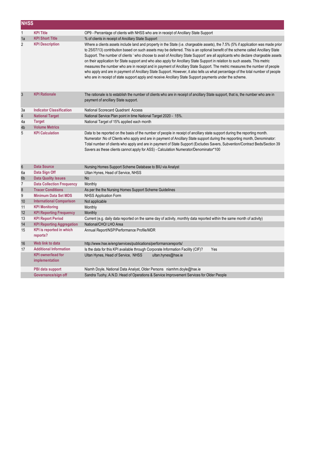|                 | <b>NHSS</b>                                 |                                                                                                                                                                                                                                                                                                                                                                                                                                                                                                                                                                                                                                                                                                                                                                                                                                                                                                                            |  |  |
|-----------------|---------------------------------------------|----------------------------------------------------------------------------------------------------------------------------------------------------------------------------------------------------------------------------------------------------------------------------------------------------------------------------------------------------------------------------------------------------------------------------------------------------------------------------------------------------------------------------------------------------------------------------------------------------------------------------------------------------------------------------------------------------------------------------------------------------------------------------------------------------------------------------------------------------------------------------------------------------------------------------|--|--|
| $\mathbf{1}$    | <b>KPI Title</b>                            | OP9 - Percentage of clients with NHSS who are in receipt of Ancillary State Support                                                                                                                                                                                                                                                                                                                                                                                                                                                                                                                                                                                                                                                                                                                                                                                                                                        |  |  |
| 1a              | <b>KPI Short Title</b>                      | % of clients in receipt of Ancillary State Support                                                                                                                                                                                                                                                                                                                                                                                                                                                                                                                                                                                                                                                                                                                                                                                                                                                                         |  |  |
| $\overline{2}$  | <b>KPI Description</b>                      | Where a clients assets include land and property in the State (i.e. chargeable assets), the 7.5% (5% if application was made prior<br>to 25/07/13) contribution based on such assets may be deferred. This is an optional benefit of the scheme called Ancillary State<br>Support. The number of clients ' who choose to avail of Ancillary State Support' are all applicants who declare chargeable assets<br>on their application for State support and who also apply for Ancillary State Support in relation to such assets. This metric<br>measures the number who are in receipt and in payment of Ancillary State Support. The metric measures the number of people<br>who apply and are in payment of Ancillary State Support. However, it also tells us what percentage of the total number of people<br>who are in receipt of state support apply and receive Ancillary State Support payments under the scheme. |  |  |
| $\overline{3}$  | <b>KPI Rationale</b>                        | The rationale is to establish the number of clients who are in receipt of ancillary State support, that is, the number who are in<br>payment of ancillary State support.                                                                                                                                                                                                                                                                                                                                                                                                                                                                                                                                                                                                                                                                                                                                                   |  |  |
| За              | <b>Indicator Classification</b>             | National Scorecard Quadrant Access                                                                                                                                                                                                                                                                                                                                                                                                                                                                                                                                                                                                                                                                                                                                                                                                                                                                                         |  |  |
| $\overline{4}$  | <b>National Target</b>                      | National Service Plan point in time National Target 2020 - 15%.                                                                                                                                                                                                                                                                                                                                                                                                                                                                                                                                                                                                                                                                                                                                                                                                                                                            |  |  |
| 4a              | <b>Target</b>                               | National Target of 15% applied each month                                                                                                                                                                                                                                                                                                                                                                                                                                                                                                                                                                                                                                                                                                                                                                                                                                                                                  |  |  |
| 4b              | <b>Volume Metrics</b>                       |                                                                                                                                                                                                                                                                                                                                                                                                                                                                                                                                                                                                                                                                                                                                                                                                                                                                                                                            |  |  |
| 5               | <b>KPI Calculation</b>                      | Data to be reported on the basis of the number of people in receipt of ancillary state support during the reporting month.<br>Numerator :No of Clients who apply and are in payment of Ancillary State support during the repporting month, Denominator:<br>Total number of clients who apply and are in payment of State Support (Excludes Savers, Subvention/Contract Beds/Section 39<br>Savers as these clients cannot apply for ASS) - Calculation Numerator/Denominator*100                                                                                                                                                                                                                                                                                                                                                                                                                                           |  |  |
| $6\phantom{.}6$ | <b>Data Source</b>                          | Nursing Homes Support Scheme Database to BIU via Analyst                                                                                                                                                                                                                                                                                                                                                                                                                                                                                                                                                                                                                                                                                                                                                                                                                                                                   |  |  |
| 6a              | Data Sign Off                               | Ultan Hynes, Head of Service, NHSS                                                                                                                                                                                                                                                                                                                                                                                                                                                                                                                                                                                                                                                                                                                                                                                                                                                                                         |  |  |
| 6b              | <b>Data Quality Issues</b>                  | <b>No</b>                                                                                                                                                                                                                                                                                                                                                                                                                                                                                                                                                                                                                                                                                                                                                                                                                                                                                                                  |  |  |
| 7               | <b>Data Collection Frequency</b>            | Monthly                                                                                                                                                                                                                                                                                                                                                                                                                                                                                                                                                                                                                                                                                                                                                                                                                                                                                                                    |  |  |
| 8               | <b>Tracer Conditions</b>                    | As per the the Nursing Homes Support Scheme Guidelines                                                                                                                                                                                                                                                                                                                                                                                                                                                                                                                                                                                                                                                                                                                                                                                                                                                                     |  |  |
| 9               | <b>Minimum Data Set MDS</b>                 | <b>NHSS Application Form</b>                                                                                                                                                                                                                                                                                                                                                                                                                                                                                                                                                                                                                                                                                                                                                                                                                                                                                               |  |  |
| 10              | <b>International Comparison</b>             | Not applicable                                                                                                                                                                                                                                                                                                                                                                                                                                                                                                                                                                                                                                                                                                                                                                                                                                                                                                             |  |  |
| 11              | <b>KPI Monitoring</b>                       | Monthly                                                                                                                                                                                                                                                                                                                                                                                                                                                                                                                                                                                                                                                                                                                                                                                                                                                                                                                    |  |  |
| 12              | <b>KPI Reporting Frequency</b>              | Monthly                                                                                                                                                                                                                                                                                                                                                                                                                                                                                                                                                                                                                                                                                                                                                                                                                                                                                                                    |  |  |
| 13              | <b>KPI Report Period</b>                    | Current (e.g. daily data reported on the same day of activity, monthly data reported within the same month of activity)                                                                                                                                                                                                                                                                                                                                                                                                                                                                                                                                                                                                                                                                                                                                                                                                    |  |  |
| 14              | <b>KPI Reporting Aggregation</b>            | National/CHO/ LHO Area                                                                                                                                                                                                                                                                                                                                                                                                                                                                                                                                                                                                                                                                                                                                                                                                                                                                                                     |  |  |
| 15              | <b>KPI</b> is reported in which<br>reports? | Annual Report/NSP/Performance Profile/MDR                                                                                                                                                                                                                                                                                                                                                                                                                                                                                                                                                                                                                                                                                                                                                                                                                                                                                  |  |  |
| 16              | Web link to data                            | http://www.hse.ie/eng/services/publications/performancereports/                                                                                                                                                                                                                                                                                                                                                                                                                                                                                                                                                                                                                                                                                                                                                                                                                                                            |  |  |
| 17              | <b>Additional Information</b>               | Is the data for this KPI available through Corporate Information Facility (CIF)?<br>Yes                                                                                                                                                                                                                                                                                                                                                                                                                                                                                                                                                                                                                                                                                                                                                                                                                                    |  |  |
|                 | <b>KPI</b> owner/lead for<br>implementation | Ultan Hynes, Head of Service, NHSS<br>ultan.hynes@hse.ie                                                                                                                                                                                                                                                                                                                                                                                                                                                                                                                                                                                                                                                                                                                                                                                                                                                                   |  |  |
|                 | PBI data support                            | Niamh Doyle, National Data Analyst, Older Persons niamhm.doyle@hse.ie                                                                                                                                                                                                                                                                                                                                                                                                                                                                                                                                                                                                                                                                                                                                                                                                                                                      |  |  |
|                 | Governance/sign off                         | Sandra Tuohy, A.N.D. Head of Operations & Service Improvement Services for Older People                                                                                                                                                                                                                                                                                                                                                                                                                                                                                                                                                                                                                                                                                                                                                                                                                                    |  |  |
|                 |                                             |                                                                                                                                                                                                                                                                                                                                                                                                                                                                                                                                                                                                                                                                                                                                                                                                                                                                                                                            |  |  |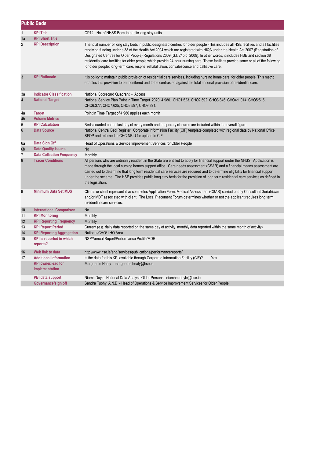|                | <b>Public Beds</b>                          |                                                                                                                                                                                                                                                                                                                                                                                                                                                                                                                                                                                                                                               |  |
|----------------|---------------------------------------------|-----------------------------------------------------------------------------------------------------------------------------------------------------------------------------------------------------------------------------------------------------------------------------------------------------------------------------------------------------------------------------------------------------------------------------------------------------------------------------------------------------------------------------------------------------------------------------------------------------------------------------------------------|--|
| $\mathbf{1}$   | <b>KPI Title</b>                            | OP12 - No. of NHSS Beds in public long stay units                                                                                                                                                                                                                                                                                                                                                                                                                                                                                                                                                                                             |  |
| 1a             | <b>KPI Short Title</b>                      |                                                                                                                                                                                                                                                                                                                                                                                                                                                                                                                                                                                                                                               |  |
| $\overline{2}$ | <b>KPI Description</b>                      | The total number of long stay beds in public designated centres for older people -This includes all HSE facilities and all facilities<br>receiving funding under s.38 of the Health Act 2004 which are registered with HIQA under the Health Act 2007 (Registration of<br>Designated Centres for Older People) Regulations 2009 (S.I. 245 of 2009). In other words, it includes HSE and section 38<br>residential care facilities for older people which provide 24 hour nursing care. These facilities provide some or all of the following<br>for older people: long-term care, respite, rehabilitation, convalescence and palliative care. |  |
| 3              | <b>KPI Rationale</b>                        | It is policy to maintain public provision of residential care services, including nursing home care, for older people. This metric<br>enables this provision to be monitored and to be contrasted against the total national provision of residential care.                                                                                                                                                                                                                                                                                                                                                                                   |  |
| За             | <b>Indicator Classification</b>             | National Scorecard Quadrant - Access                                                                                                                                                                                                                                                                                                                                                                                                                                                                                                                                                                                                          |  |
| $\overline{4}$ | <b>National Target</b>                      | National Service Plan Point in Time Target 2020 4,980. CHO1:523, CHO2:592, CHO3:346, CHO4:1,014, CHO5:515,<br>CHO6:377, CHO7;625, CHO8:597, CHO9:391.                                                                                                                                                                                                                                                                                                                                                                                                                                                                                         |  |
| 4a             | <b>Target</b>                               | Point in Time Target of 4,980 applies each month                                                                                                                                                                                                                                                                                                                                                                                                                                                                                                                                                                                              |  |
| 4b             | <b>Volume Metrics</b>                       |                                                                                                                                                                                                                                                                                                                                                                                                                                                                                                                                                                                                                                               |  |
| 5              | <b>KPI Calculation</b>                      | Beds counted on the last day of every month and temporary closures are included within the overall figure.                                                                                                                                                                                                                                                                                                                                                                                                                                                                                                                                    |  |
| $6\phantom{1}$ | <b>Data Source</b>                          | National Central Bed Register. Corporate Information Facility (CIF) template completed with regional data by National Office<br>SFOP and returned to CHC NBIU for upload to CIF.                                                                                                                                                                                                                                                                                                                                                                                                                                                              |  |
| 6a             | Data Sign Off                               | Head of Operations & Service Improvement Services for Older People                                                                                                                                                                                                                                                                                                                                                                                                                                                                                                                                                                            |  |
| 6b             | <b>Data Quality Issues</b>                  | No                                                                                                                                                                                                                                                                                                                                                                                                                                                                                                                                                                                                                                            |  |
| $\overline{7}$ | <b>Data Collection Frequency</b>            | Monthly                                                                                                                                                                                                                                                                                                                                                                                                                                                                                                                                                                                                                                       |  |
| 8              | <b>Tracer Conditions</b>                    | All persons who are ordinarily resident in the State are entitled to apply for financial support under the NHSS. Application is<br>made through the local nursing homes support office. Care needs assessment (CSAR) and a financial means assessment are<br>carried out to determine that long term residential care services are required and to determine eligibility for financial support<br>under the scheme. The HSE provides public long stay beds for the provision of long term residential care services as defined in<br>the legislation.                                                                                         |  |
| 9              | <b>Minimum Data Set MDS</b>                 | Clients or client representative completes Application Form. Medical Assessment (CSAR) carried out by Consultant Geriatrician<br>and/or MDT associated with client. The Local Placement Forum determines whether or not the applicant requires long term<br>residential care services.                                                                                                                                                                                                                                                                                                                                                        |  |
| 10             | <b>International Comparison</b>             | No                                                                                                                                                                                                                                                                                                                                                                                                                                                                                                                                                                                                                                            |  |
| 11             | <b>KPI Monitoring</b>                       | Monthly                                                                                                                                                                                                                                                                                                                                                                                                                                                                                                                                                                                                                                       |  |
| 12             | <b>KPI Reporting Frequency</b>              | Monthly                                                                                                                                                                                                                                                                                                                                                                                                                                                                                                                                                                                                                                       |  |
| 13             | <b>KPI Report Period</b>                    | Current (e.g. daily data reported on the same day of activity, monthly data reported within the same month of activity)                                                                                                                                                                                                                                                                                                                                                                                                                                                                                                                       |  |
| 14             | <b>KPI Reporting Aggregation</b>            | National/CHO/ LHO Area                                                                                                                                                                                                                                                                                                                                                                                                                                                                                                                                                                                                                        |  |
| 15             | <b>KPI</b> is reported in which<br>reports? | NSP/Annual Report/Performance Profile/MDR                                                                                                                                                                                                                                                                                                                                                                                                                                                                                                                                                                                                     |  |
| 16             | Web link to data                            | http://www.hse.ie/eng/services/publications/performancereports/                                                                                                                                                                                                                                                                                                                                                                                                                                                                                                                                                                               |  |
| 17             | <b>Additional Information</b>               | Is the data for this KPI available through Corporate Information Facility (CIF)?<br>Yes                                                                                                                                                                                                                                                                                                                                                                                                                                                                                                                                                       |  |
|                | <b>KPI owner/lead for</b><br>implementation | Marguerite Healy marguerite.healy@hse.ie                                                                                                                                                                                                                                                                                                                                                                                                                                                                                                                                                                                                      |  |
|                | PBI data support                            | Niamh Doyle, National Data Analyst, Older Persons niamhm.doyle@hse.ie                                                                                                                                                                                                                                                                                                                                                                                                                                                                                                                                                                         |  |
|                | Governance/sign off                         | Sandra Tuohy, A.N.D. - Head of Operations & Service Improvement Services for Older People                                                                                                                                                                                                                                                                                                                                                                                                                                                                                                                                                     |  |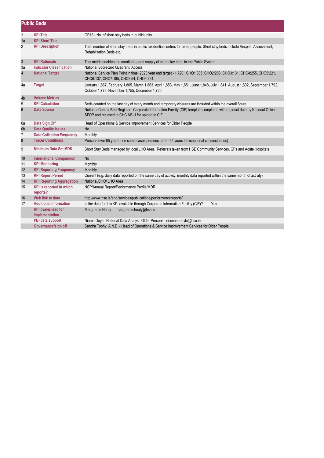|                | <b>Public Beds</b>                          |                                                                                                                                                                                  |  |
|----------------|---------------------------------------------|----------------------------------------------------------------------------------------------------------------------------------------------------------------------------------|--|
| $\mathbf{1}$   | <b>KPI Title</b>                            | OP13 - No. of short stay beds in public units                                                                                                                                    |  |
| 1a             | <b>KPI Short Title</b>                      |                                                                                                                                                                                  |  |
| 2              | <b>KPI Description</b>                      | Total number of short stay beds in public residential centres for older people. Short stay beds include Respite. Assessment,<br>Rehabilitation Beds etc.                         |  |
| $\sqrt{3}$     | <b>KPI Rationale</b>                        | This metric enables the monitoring and supply of short stay beds in the Public System.                                                                                           |  |
| 3a             | <b>Indicator Classification</b>             | National Scorecard Quadrant Access                                                                                                                                               |  |
| $\overline{4}$ | <b>National Target</b>                      | National Service Plan Point in time 2020 year end target - 1,720. CHO1:305, CHO2:208, CHO3:131, CHO4:255, CHO5:221,<br>CHO6:137, CHO7:185, CHO8:54, CHO9:224.                    |  |
| 4a             | <b>Target</b>                               | January 1,867, February 1,865, March 1,863, April 1,853, May 1,851, June 1,848, July 1,841, August 1,802, September 1,792,<br>October 1,773, November 1,755, December 1,720      |  |
| 4b             | <b>Volume Metrics</b>                       |                                                                                                                                                                                  |  |
| 5              | <b>KPI Calculation</b>                      | Beds counted on the last day of every month and temporary closures are included within the overall figure.                                                                       |  |
| 6              | <b>Data Source</b>                          | National Central Bed Register. Corporate Information Facility (CIF) template completed with regional data by National Office<br>SFOP and returned to CHC NBIU for upload to CIF. |  |
| 6a             | Data Sign Off                               | Head of Operations & Service Improvement Services for Older People                                                                                                               |  |
| 6 <sub>b</sub> | <b>Data Quality Issues</b>                  | <b>No</b>                                                                                                                                                                        |  |
| $\overline{7}$ | <b>Data Collection Frequency</b>            | Monthly                                                                                                                                                                          |  |
| 8              | <b>Tracer Conditions</b>                    | Persons over 65 years - (in some cases persons under 65 years if exceptional circumstances)                                                                                      |  |
| 9              | <b>Minimum Data Set MDS</b>                 | Short Stay Beds managed by local LHO Area. Referrals taken from HSE Community Services, GPs and Acute Hospitals                                                                  |  |
| 10             | <b>International Comparison</b>             | <b>No</b>                                                                                                                                                                        |  |
| 11             | <b>KPI Monitoring</b>                       | Monthly                                                                                                                                                                          |  |
| 12             | <b>KPI Reporting Frequency</b>              | Monthly                                                                                                                                                                          |  |
| 13             | <b>KPI Report Period</b>                    | Current (e.g. daily data reported on the same day of activity, monthly data reported within the same month of activity)                                                          |  |
| 14             | <b>KPI Reporting Aggregation</b>            | National/CHO/ LHO Area                                                                                                                                                           |  |
| 15             | KPI is reported in which<br>reports?        | NSP/Annual Report/Performance Profile/MDR                                                                                                                                        |  |
| 16             | Web link to data                            | http://www.hse.ie/eng/services/publications/performancereports/                                                                                                                  |  |
| 17             | <b>Additional Information</b>               | Is the data for this KPI available through Corporate Information Facility (CIF)?<br><b>Yes</b>                                                                                   |  |
|                | <b>KPI</b> owner/lead for<br>implementation | Marquerite Healy<br>marquerite.healy@hse.ie                                                                                                                                      |  |
|                | PBI data support                            | Niamh Doyle, National Data Analyst, Older Persons niamhm.doyle@hse.ie                                                                                                            |  |
|                | Governance/sign off                         | Sandra Tuohy, A.N.D. - Head of Operations & Service Improvement Services for Older People                                                                                        |  |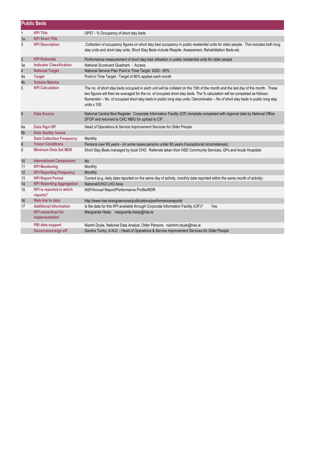|                  | <b>Public Beds</b>                          |                                                                                                                                                                                                                                                                                                                                                                                                                    |  |
|------------------|---------------------------------------------|--------------------------------------------------------------------------------------------------------------------------------------------------------------------------------------------------------------------------------------------------------------------------------------------------------------------------------------------------------------------------------------------------------------------|--|
| $\mathbf{1}$     | <b>KPI Title</b>                            | OP57 - % Occupancy of short stay beds                                                                                                                                                                                                                                                                                                                                                                              |  |
| 1a               | <b>KPI Short Title</b>                      |                                                                                                                                                                                                                                                                                                                                                                                                                    |  |
| $\overline{2}$   | <b>KPI Description</b>                      | Collection of occupancy figures on short stay bed occupancy in public residential units for older people. This includes both long<br>stay units and short stay units. Short Stay Beds include Respite. Assessment, Rehabilitation Beds etc.                                                                                                                                                                        |  |
| $\sqrt{3}$       | <b>KPI Rationale</b>                        | Performance measurement of short stay bed utilisation in public residential units for older people                                                                                                                                                                                                                                                                                                                 |  |
| 3a               | <b>Indicator Classification</b>             | National Scorecard Quadrant - Access                                                                                                                                                                                                                                                                                                                                                                               |  |
| $\overline{4}$   | <b>National Target</b>                      | National Service Plan Point in Time Target 2020 - 90%                                                                                                                                                                                                                                                                                                                                                              |  |
| 4a               | <b>Target</b>                               | Point in Time Target - Target of 90% applies each month                                                                                                                                                                                                                                                                                                                                                            |  |
| 4b               | <b>Volume Metrics</b>                       |                                                                                                                                                                                                                                                                                                                                                                                                                    |  |
| 5                | <b>KPI Calculation</b>                      | The no. of short stay beds occupied in each unit will be collated on the 15th of the month and the last day of the month. These<br>two figures will then be averaged for the no. of occupied short stay beds. The % calculation will be completed as follows:-<br>Numerator - No. of occupied short stay beds in public long stay units / Denominator - No of short stay beds in public long stay<br>units $x$ 100 |  |
| $6\phantom{1}$   | <b>Data Source</b>                          | National Central Bed Register. Corporate Information Facility (CIF) template completed with regional data by National Office<br>SFOP and returned to CHC NBIU for upload to CIF.                                                                                                                                                                                                                                   |  |
| 6a               | Data Sign Off                               | Head of Operations & Service Improvement Services for Older People                                                                                                                                                                                                                                                                                                                                                 |  |
| 6 <sub>b</sub>   | <b>Data Quality Issues</b>                  |                                                                                                                                                                                                                                                                                                                                                                                                                    |  |
| $\overline{7}$   | <b>Data Collection Frequency</b>            | Monthly                                                                                                                                                                                                                                                                                                                                                                                                            |  |
| $\boldsymbol{8}$ | <b>Tracer Conditions</b>                    | Persons over 65 years - (in some cases persons under 65 years if exceptional circumstances)                                                                                                                                                                                                                                                                                                                        |  |
| 9                | <b>Minimum Data Set MDS</b>                 | Short Stay Beds managed by local CHO. Referrals taken from HSE Community Services, GPs and Acute Hospitals                                                                                                                                                                                                                                                                                                         |  |
| 10               | <b>International Comparison</b>             | <b>No</b>                                                                                                                                                                                                                                                                                                                                                                                                          |  |
| 11               | <b>KPI Monitoring</b>                       | Monthly                                                                                                                                                                                                                                                                                                                                                                                                            |  |
| 12               | <b>KPI Reporting Frequency</b>              | Monthly                                                                                                                                                                                                                                                                                                                                                                                                            |  |
| 13               | <b>KPI Report Period</b>                    | Current (e.g. daily data reported on the same day of activity, monthly data reported within the same month of activity)                                                                                                                                                                                                                                                                                            |  |
| 14               | <b>KPI Reporting Aggregation</b>            | National/CHO/ LHO Area                                                                                                                                                                                                                                                                                                                                                                                             |  |
| 15               | KPI is reported in which<br>reports?        | NSP/Annual Report/Performance Profile/MDR                                                                                                                                                                                                                                                                                                                                                                          |  |
| 16               | Web link to data                            | http://www.hse.ie/eng/services/publications/performancereports/                                                                                                                                                                                                                                                                                                                                                    |  |
| 17               | <b>Additional Information</b>               | Is the data for this KPI available through Corporate Information Facility (CIF)?<br>Yes                                                                                                                                                                                                                                                                                                                            |  |
|                  | <b>KPI</b> owner/lead for<br>implementation | Marquerite Healy marquerite.healy@hse.ie                                                                                                                                                                                                                                                                                                                                                                           |  |
|                  | PBI data support                            | Niamh Doyle, National Data Analyst, Older Persons niamhm.doyle@hse.ie                                                                                                                                                                                                                                                                                                                                              |  |
|                  | Governance/sign off                         | Sandra Tuohy, A.N.D. - Head of Operations & Service Improvement Services for Older People                                                                                                                                                                                                                                                                                                                          |  |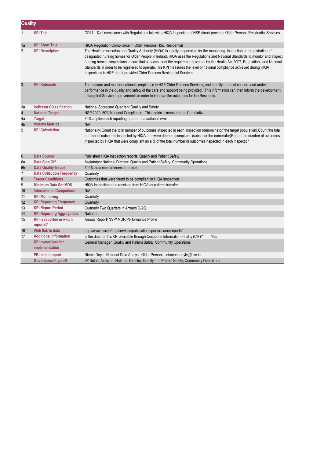|                | <b>Quality</b>                              |                                                                                                                                                                                                                                                                                                                                                                                                                                                                                                                                                                                                      |  |
|----------------|---------------------------------------------|------------------------------------------------------------------------------------------------------------------------------------------------------------------------------------------------------------------------------------------------------------------------------------------------------------------------------------------------------------------------------------------------------------------------------------------------------------------------------------------------------------------------------------------------------------------------------------------------------|--|
| 1              | <b>KPI Title</b>                            | OP47 - % of compliance with Regulations following HIQA Inspection of HSE direct-provided Older Persons Residential Services                                                                                                                                                                                                                                                                                                                                                                                                                                                                          |  |
| 1a             | <b>KPI Short Title</b>                      | HIQA Regulation Compliance in Older Persons HSE Residential                                                                                                                                                                                                                                                                                                                                                                                                                                                                                                                                          |  |
| 2              | <b>KPI Description</b>                      | The Health Information and Quality Authority (HIQA) is legally responsible for the monitoring, inspection and registration of<br>designated nursing homes for Older People in Ireland. HIQA uses the Regulations and National Standards to monitor and inspect<br>nursing homes. Inspections ensure that services meet the requirements set out by the Health Act 2007, Regulations and National<br>Standards in order to be registered to operate. This KPI measures the level of national compliance achieved during HIQA<br>Inspections in HSE direct-provided Older Persons Residential Services |  |
| 3              | <b>KPI Rationale</b>                        | To measure and monitor national compliance in HSE Older Persons Services, and identify areas of concern and under-<br>performance in the quality and safety of the care and support being provided. This information can then inform the development<br>of targeted Service Improvements in order to improve the outcomes for the Residents.                                                                                                                                                                                                                                                         |  |
| Зa             | <b>Indicator Classification</b>             | National Scorecard Quadrant Quality and Safety                                                                                                                                                                                                                                                                                                                                                                                                                                                                                                                                                       |  |
| $\overline{4}$ | <b>National Target</b>                      | NSP 2020: 80% National Compliance. This metric is measured as Cumulative                                                                                                                                                                                                                                                                                                                                                                                                                                                                                                                             |  |
| 4a             | <b>Target</b>                               | 80% applies each reporting quarter at a national level                                                                                                                                                                                                                                                                                                                                                                                                                                                                                                                                               |  |
| 4b             | <b>Volume Metrics</b>                       | N/A                                                                                                                                                                                                                                                                                                                                                                                                                                                                                                                                                                                                  |  |
| 5              | <b>KPI Calculation</b>                      | Nationally: Count the total number of outcomes inspected in each inspection (denominator/ the target population). Count the total<br>number of outcomes inspected by HIQA that were deemed compliant. (subset or the numerator)Report the number of outcomes<br>inspected by HIQA that were compliant as a % of the total number of outcomes inspected in each inspection.                                                                                                                                                                                                                           |  |
| 6              | <b>Data Source</b>                          | Published HIQA inspection reports.; Quality and Patient Safety                                                                                                                                                                                                                                                                                                                                                                                                                                                                                                                                       |  |
| 6а             | Data Sign Off                               | Assiatntant National Director, Quality and Patient Safety, Community Operations                                                                                                                                                                                                                                                                                                                                                                                                                                                                                                                      |  |
| 6b             | <b>Data Quality Issues</b>                  | 100% data completeness required.                                                                                                                                                                                                                                                                                                                                                                                                                                                                                                                                                                     |  |
| $\overline{7}$ | <b>Data Collection Frequency</b>            | Quarterly                                                                                                                                                                                                                                                                                                                                                                                                                                                                                                                                                                                            |  |
| 8              | <b>Tracer Conditions</b>                    | Outcomes that were found to be compliant in HIQA Inspection.                                                                                                                                                                                                                                                                                                                                                                                                                                                                                                                                         |  |
| 9              | <b>Minimum Data Set MDS</b>                 | HIQA Inspection data received from HIQA as a direct transfer                                                                                                                                                                                                                                                                                                                                                                                                                                                                                                                                         |  |
| 10             | <b>International Comparison</b>             | N/A                                                                                                                                                                                                                                                                                                                                                                                                                                                                                                                                                                                                  |  |
| 11             | <b>KPI Monitoring</b>                       | Quarterly                                                                                                                                                                                                                                                                                                                                                                                                                                                                                                                                                                                            |  |
| 12             | <b>KPI Reporting Frequency</b>              | Quarterly                                                                                                                                                                                                                                                                                                                                                                                                                                                                                                                                                                                            |  |
| 13             | <b>KPI Report Period</b>                    | Quarterly Two Quarters In Arrears Q-2Q                                                                                                                                                                                                                                                                                                                                                                                                                                                                                                                                                               |  |
| 14             | <b>KPI Reporting Aggregation</b>            | National                                                                                                                                                                                                                                                                                                                                                                                                                                                                                                                                                                                             |  |
| 15             | <b>KPI</b> is reported in which<br>reports? | Annual Report/ NSP/ MDR/Performance Profile                                                                                                                                                                                                                                                                                                                                                                                                                                                                                                                                                          |  |
| 16             | Web link to data                            | http://www.hse.ie/eng/services/publications/performancereports/                                                                                                                                                                                                                                                                                                                                                                                                                                                                                                                                      |  |
| 17             | <b>Additional Information</b>               | Is the data for this KPI available through Corporate Information Facility (CIF)?<br>Yes                                                                                                                                                                                                                                                                                                                                                                                                                                                                                                              |  |
|                | <b>KPI owner/lead for</b><br>implementation | General Manager, Quality and Patient Safety, Community Operations                                                                                                                                                                                                                                                                                                                                                                                                                                                                                                                                    |  |
|                | PBI data support                            | Niamh Doyle, National Data Analyst, Older Persons niamhm.doyle@hse.ie                                                                                                                                                                                                                                                                                                                                                                                                                                                                                                                                |  |
|                | Governance/sign off                         | JP Nolan, Assistant National Director, Quality and Patient Safety, Community Operations                                                                                                                                                                                                                                                                                                                                                                                                                                                                                                              |  |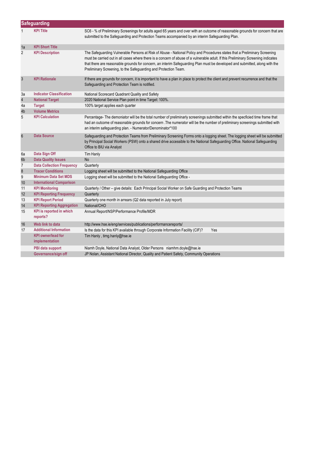|                | <b>Safeguarding</b>                         |                                                                                                                                                                                                                                                                                                                                                                                                                                                                  |  |
|----------------|---------------------------------------------|------------------------------------------------------------------------------------------------------------------------------------------------------------------------------------------------------------------------------------------------------------------------------------------------------------------------------------------------------------------------------------------------------------------------------------------------------------------|--|
|                | <b>KPI Title</b>                            | SC6 - % of Preliminary Screenings for adults aged 65 years and over with an outcome of reasonable grounds for concern that are<br>submitted to the Safeguarding and Protection Teams accompanied by an interim Safeguarding Plan.                                                                                                                                                                                                                                |  |
| 1a             | <b>KPI Short Title</b>                      |                                                                                                                                                                                                                                                                                                                                                                                                                                                                  |  |
| 2              | <b>KPI Description</b>                      | The Safeguarding Vulnerable Persons at Risk of Abuse - National Policy and Procedures states that a Preliminary Screening<br>must be carried out in all cases where there is a concern of abuse of a vulnerable adult. If this Preliminary Screening indicates<br>that there are reasonable grounds for concern, an interim Safeguarding Plan must be developed and submitted, along with the<br>Preliminary Screening, to the Safeguarding and Protection Team. |  |
| 3              | <b>KPI Rationale</b>                        | If there are grounds for concern, it is important to have a plan in place to protect the client and prevent recurrence and that the<br>Safeguarding and Protection Team is notified.                                                                                                                                                                                                                                                                             |  |
| За             | <b>Indicator Classification</b>             | National Scorecard Quadrant Quality and Safety                                                                                                                                                                                                                                                                                                                                                                                                                   |  |
| $\overline{4}$ | <b>National Target</b>                      | 2020 National Service Plan point in time Target: 100%.                                                                                                                                                                                                                                                                                                                                                                                                           |  |
| 4a             | <b>Target</b>                               | 100% target applies each quarter                                                                                                                                                                                                                                                                                                                                                                                                                                 |  |
| 4b             | <b>Volume Metrics</b>                       |                                                                                                                                                                                                                                                                                                                                                                                                                                                                  |  |
| 5              | <b>KPI Calculation</b>                      | Percentage- The demoniator will be the total number of preliminarly screenings submitted within the specficied time frame that<br>had an outcome of reasonable grounds for concern . The numerator will be the number of preliminary screenings submitted with<br>an interim safeguarding plan. - Numerator/Denominator*100                                                                                                                                      |  |
| 6              | <b>Data Source</b>                          | Safeguarding and Protection Teams from Preliminary Screening Forms onto a logging sheet. The logging sheet will be submitted<br>by Principal Social Workers (PSW) onto a shared drive accessible to the National Safeguarding Office. National Safeguarding<br>Office to BIU via Analyst                                                                                                                                                                         |  |
| 6а             | Data Sign Off                               | Tim Hanly                                                                                                                                                                                                                                                                                                                                                                                                                                                        |  |
| 6b             | <b>Data Quality Issues</b>                  | <b>No</b>                                                                                                                                                                                                                                                                                                                                                                                                                                                        |  |
| $\overline{7}$ | <b>Data Collection Frequency</b>            | Quarterly                                                                                                                                                                                                                                                                                                                                                                                                                                                        |  |
| 8              | <b>Tracer Conditions</b>                    | Logging sheet will be submitted to the National Safeguarding Office                                                                                                                                                                                                                                                                                                                                                                                              |  |
| 9              | <b>Minimum Data Set MDS</b>                 | Logging sheet will be submitted to the National Safeguarding Office -                                                                                                                                                                                                                                                                                                                                                                                            |  |
| 10             | <b>International Comparison</b>             |                                                                                                                                                                                                                                                                                                                                                                                                                                                                  |  |
| 11             | <b>KPI Monitoring</b>                       | Quarterly / Other - give details: Each Principal Social Worker on Safe Guarding and Protection Teams                                                                                                                                                                                                                                                                                                                                                             |  |
| 12             | <b>KPI Reporting Frequency</b>              | Quarterly                                                                                                                                                                                                                                                                                                                                                                                                                                                        |  |
| 13             | <b>KPI Report Period</b>                    | Quarterly one month in arrears (Q2 data reported in July report)                                                                                                                                                                                                                                                                                                                                                                                                 |  |
| 14             | <b>KPI Reporting Aggregation</b>            | National/CHO                                                                                                                                                                                                                                                                                                                                                                                                                                                     |  |
| 15             | <b>KPI</b> is reported in which<br>reports? | Annual Report/NSP/Performance Profile/MDR                                                                                                                                                                                                                                                                                                                                                                                                                        |  |
| 16             | Web link to data                            | http://www.hse.ie/eng/services/publications/performancereports/                                                                                                                                                                                                                                                                                                                                                                                                  |  |
| 17             | <b>Additional Information</b>               | Is the data for this KPI available through Corporate Information Facility (CIF)?<br>Yes                                                                                                                                                                                                                                                                                                                                                                          |  |
|                | <b>KPI owner/lead for</b><br>implementation | Tim Hanly, timg.hanly@hse.ie                                                                                                                                                                                                                                                                                                                                                                                                                                     |  |
|                | PBI data support                            | Niamh Doyle, National Data Analyst, Older Persons niamhm.doyle@hse.ie                                                                                                                                                                                                                                                                                                                                                                                            |  |
|                | Governance/sign off                         | JP Nolan, Assistant National Director, Quality and Patient Safety, Community Operations                                                                                                                                                                                                                                                                                                                                                                          |  |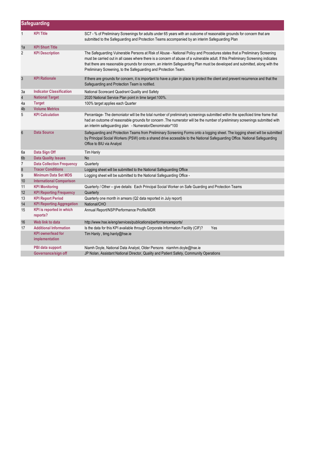|                | <b>Safeguarding</b>                         |                                                                                                                                                                                                                                                                                                                                                                                                                                                                  |  |
|----------------|---------------------------------------------|------------------------------------------------------------------------------------------------------------------------------------------------------------------------------------------------------------------------------------------------------------------------------------------------------------------------------------------------------------------------------------------------------------------------------------------------------------------|--|
| $\mathbf{1}$   | <b>KPI Title</b>                            | SC7 - % of Preliminary Screenings for adults under 65 years with an outcome of reasonable grounds for concern that are<br>submitted to the Safeguarding and Protection Teams accompanied by an interim Safeguarding Plan                                                                                                                                                                                                                                         |  |
| 1a             | <b>KPI Short Title</b>                      |                                                                                                                                                                                                                                                                                                                                                                                                                                                                  |  |
| $\overline{2}$ | <b>KPI Description</b>                      | The Safeguarding Vulnerable Persons at Risk of Abuse - National Policy and Procedures states that a Preliminary Screening<br>must be carried out in all cases where there is a concern of abuse of a vulnerable adult. If this Preliminary Screening indicates<br>that there are reasonable grounds for concern, an interim Safeguarding Plan must be developed and submitted, along with the<br>Preliminary Screening, to the Safeguarding and Protection Team. |  |
| 3              | <b>KPI Rationale</b>                        | If there are grounds for concern, it is important to have a plan in place to protect the client and prevent recurrence and that the<br>Safeguarding and Protection Team is notified.                                                                                                                                                                                                                                                                             |  |
| 3a             | <b>Indicator Classification</b>             | National Scorecard Quadrant Quality and Safety                                                                                                                                                                                                                                                                                                                                                                                                                   |  |
| $\overline{4}$ | <b>National Target</b>                      | 2020 National Service Plan point in time target: 100%.                                                                                                                                                                                                                                                                                                                                                                                                           |  |
| 4a             | <b>Target</b>                               | 100% target applies each Quarter                                                                                                                                                                                                                                                                                                                                                                                                                                 |  |
| 4b             | <b>Volume Metrics</b>                       |                                                                                                                                                                                                                                                                                                                                                                                                                                                                  |  |
| 5              | <b>KPI Calculation</b>                      | Percentage- The demoniator will be the total number of preliminarly screenings submitted within the specficied time frame that<br>had an outcome of reasonable grounds for concern . The numerator will be the number of preliminary screenings submitted with<br>an interim safeguarding plan - Numerator/Denominator*100                                                                                                                                       |  |
| 6              | <b>Data Source</b>                          | Safeguarding and Protection Teams from Preliminary Screening Forms onto a logging sheet. The logging sheet will be submitted<br>by Principal Social Workers (PSW) onto a shared drive accessible to the National Safeguarding Office. National Safeguarding<br>Office to BIU via Analyst                                                                                                                                                                         |  |
| 6a             | Data Sign Off                               | Tim Hanly                                                                                                                                                                                                                                                                                                                                                                                                                                                        |  |
| 6b             | <b>Data Quality Issues</b>                  | No                                                                                                                                                                                                                                                                                                                                                                                                                                                               |  |
| $\overline{7}$ | <b>Data Collection Frequency</b>            | Quarterly                                                                                                                                                                                                                                                                                                                                                                                                                                                        |  |
| 8              | <b>Tracer Conditions</b>                    | Logging sheet will be submitted to the National Safeguarding Office                                                                                                                                                                                                                                                                                                                                                                                              |  |
| 9              | <b>Minimum Data Set MDS</b>                 | Logging sheet will be submitted to the National Safeguarding Office -                                                                                                                                                                                                                                                                                                                                                                                            |  |
| 10             | <b>International Comparison</b>             |                                                                                                                                                                                                                                                                                                                                                                                                                                                                  |  |
| 11             | <b>KPI Monitoring</b>                       | Quarterly / Other - give details: Each Principal Social Worker on Safe Guarding and Protection Teams                                                                                                                                                                                                                                                                                                                                                             |  |
| 12             | <b>KPI Reporting Frequency</b>              | Quarterly                                                                                                                                                                                                                                                                                                                                                                                                                                                        |  |
| 13             | <b>KPI Report Period</b>                    | Quarterly one month in arrears (Q2 data reported in July report)                                                                                                                                                                                                                                                                                                                                                                                                 |  |
| 14             | <b>KPI Reporting Aggregation</b>            | National/CHO                                                                                                                                                                                                                                                                                                                                                                                                                                                     |  |
| 15             | <b>KPI</b> is reported in which<br>reports? | Annual Report/NSP/Performance Profile/MDR                                                                                                                                                                                                                                                                                                                                                                                                                        |  |
| 16             | Web link to data                            | http://www.hse.ie/eng/services/publications/performancereports/                                                                                                                                                                                                                                                                                                                                                                                                  |  |
| 17             | <b>Additional Information</b>               | Is the data for this KPI available through Corporate Information Facility (CIF)?<br>Yes                                                                                                                                                                                                                                                                                                                                                                          |  |
|                | <b>KPI owner/lead for</b><br>implementation | Tim Hanly, timg.hanly@hse.ie                                                                                                                                                                                                                                                                                                                                                                                                                                     |  |
|                | PBI data support                            | Niamh Doyle, National Data Analyst, Older Persons niamhm.doyle@hse.ie                                                                                                                                                                                                                                                                                                                                                                                            |  |
|                | Governance/sign off                         | JP Nolan, Assistant National Director, Quality and Patient Safety, Community Operations                                                                                                                                                                                                                                                                                                                                                                          |  |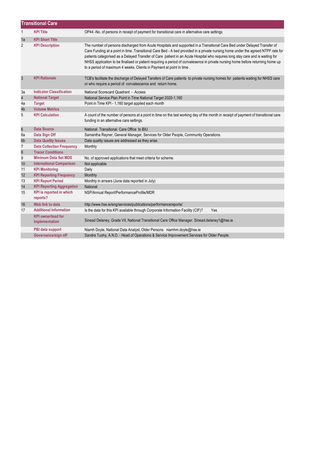|                  | <b>Transitional Care</b>                    |                                                                                                                                                                                                                                                                                                                                                                                                                                                                                                                                                                                                           |  |  |
|------------------|---------------------------------------------|-----------------------------------------------------------------------------------------------------------------------------------------------------------------------------------------------------------------------------------------------------------------------------------------------------------------------------------------------------------------------------------------------------------------------------------------------------------------------------------------------------------------------------------------------------------------------------------------------------------|--|--|
| $\mathbf{1}$     | <b>KPI Title</b>                            | OP44 -No. of persons in receipt of payment for transitional care in alternative care settings                                                                                                                                                                                                                                                                                                                                                                                                                                                                                                             |  |  |
| 1a               | <b>KPI Short Title</b>                      |                                                                                                                                                                                                                                                                                                                                                                                                                                                                                                                                                                                                           |  |  |
| $\overline{2}$   | <b>KPI Description</b>                      | The number of persons discharged from Acute Hospitals and supported in a Transitional Care Bed under Delayed Transfer of<br>Care Funding at a point in time .Transitional Care Bed - A bed provided in a private nursing home under the agreed NTPF rate for<br>patients categorised as a Delayed Transfer of Care patient in an Acute Hospital who requires long stay care and is waiting for<br>NHSS application to be finalised or patient requiring a period of convalesence in private nursing home before returning home up<br>to a period of maximum 4 weeks. Clients in Payment at point in time. |  |  |
| 3                | <b>KPI Rationale</b>                        | TCB's facilitate the discharge of Delayed Tansfers of Care patients to private nursing homes for patients waiting for NHSS care<br>or who require a period of convalescence and return home.                                                                                                                                                                                                                                                                                                                                                                                                              |  |  |
| 3a               | <b>Indicator Classification</b>             | National Scorecard Quadrant - Access                                                                                                                                                                                                                                                                                                                                                                                                                                                                                                                                                                      |  |  |
| $\overline{4}$   | <b>National Target</b>                      | National Service Plan Point in Time National Target 2020-1,160                                                                                                                                                                                                                                                                                                                                                                                                                                                                                                                                            |  |  |
| 4a               | <b>Target</b>                               | Point in Time KPI - 1,160 target applied each month                                                                                                                                                                                                                                                                                                                                                                                                                                                                                                                                                       |  |  |
| 4b               | <b>Volume Metrics</b>                       |                                                                                                                                                                                                                                                                                                                                                                                                                                                                                                                                                                                                           |  |  |
| 5                | <b>KPI Calculation</b>                      | A count of the number of persons at a point in time on the last working day of the month in receipt of payment of transitional care<br>funding in an alternative care settings.                                                                                                                                                                                                                                                                                                                                                                                                                           |  |  |
| $\boldsymbol{6}$ | <b>Data Source</b>                          | National Transitional Care Office to BIU                                                                                                                                                                                                                                                                                                                                                                                                                                                                                                                                                                  |  |  |
| 6a               | Data Sign Off                               | Samantha Rayner, General Manager, Services for Older People, Communtiy Operations.                                                                                                                                                                                                                                                                                                                                                                                                                                                                                                                        |  |  |
| 6 <sub>b</sub>   | <b>Data Quality Issues</b>                  | Data quality issues are addressed as they arise.                                                                                                                                                                                                                                                                                                                                                                                                                                                                                                                                                          |  |  |
| $\overline{7}$   | <b>Data Collection Frequency</b>            | Monthly                                                                                                                                                                                                                                                                                                                                                                                                                                                                                                                                                                                                   |  |  |
| $\boldsymbol{8}$ | <b>Tracer Conditions</b>                    |                                                                                                                                                                                                                                                                                                                                                                                                                                                                                                                                                                                                           |  |  |
| 9                | <b>Minimum Data Set MDS</b>                 | No. of approved applications that meet criteria for scheme.                                                                                                                                                                                                                                                                                                                                                                                                                                                                                                                                               |  |  |
| 10               | <b>International Comparison</b>             | Not applicable                                                                                                                                                                                                                                                                                                                                                                                                                                                                                                                                                                                            |  |  |
| 11               | <b>KPI Monitoring</b>                       | Daily                                                                                                                                                                                                                                                                                                                                                                                                                                                                                                                                                                                                     |  |  |
| 12               | <b>KPI Reporting Frequency</b>              | Monthly                                                                                                                                                                                                                                                                                                                                                                                                                                                                                                                                                                                                   |  |  |
| 13               | <b>KPI Report Period</b>                    | Monthly in arrears (June data reported in July)                                                                                                                                                                                                                                                                                                                                                                                                                                                                                                                                                           |  |  |
| 14               | <b>KPI Reporting Aggregation</b>            | National                                                                                                                                                                                                                                                                                                                                                                                                                                                                                                                                                                                                  |  |  |
| 15               | <b>KPI</b> is reported in which<br>reports? | NSP/Annual Report/PerformanceProfile/MDR                                                                                                                                                                                                                                                                                                                                                                                                                                                                                                                                                                  |  |  |
| 16               | Web link to data                            | http://www.hse.ie/eng/services/publications/performancereports/                                                                                                                                                                                                                                                                                                                                                                                                                                                                                                                                           |  |  |
| 17               | <b>Additional Information</b>               | Is the data for this KPI available through Corporate Information Facility (CIF)?<br>Yes                                                                                                                                                                                                                                                                                                                                                                                                                                                                                                                   |  |  |
|                  | <b>KPI owner/lead for</b><br>implementation | Sinead Delaney, Grade VII, National Transitional Care Office Manager. Sinead delaney1@hse.ie                                                                                                                                                                                                                                                                                                                                                                                                                                                                                                              |  |  |
|                  | PBI data support                            | Niamh Doyle, National Data Analyst, Older Persons niamhm.doyle@hse.ie                                                                                                                                                                                                                                                                                                                                                                                                                                                                                                                                     |  |  |
|                  | Governance/sign off                         | Sandra Tuohy, A.N.D. - Head of Operations & Service Improvement Services for Older People                                                                                                                                                                                                                                                                                                                                                                                                                                                                                                                 |  |  |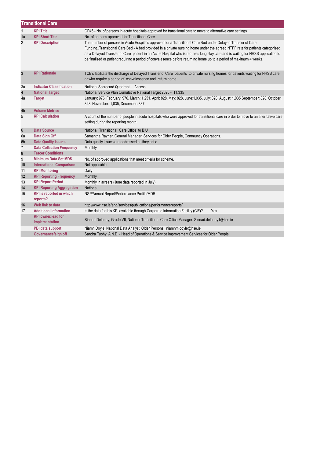|                | <b>Transitional Care</b>                    |                                                                                                                                                                                                                                                                                                                                                                                                                                                                                                          |  |  |
|----------------|---------------------------------------------|----------------------------------------------------------------------------------------------------------------------------------------------------------------------------------------------------------------------------------------------------------------------------------------------------------------------------------------------------------------------------------------------------------------------------------------------------------------------------------------------------------|--|--|
| $\mathbf{1}$   | <b>KPI Title</b>                            | OP46 - No. of persons in acute hospitals approved for transitional care to move to alternative care settings                                                                                                                                                                                                                                                                                                                                                                                             |  |  |
| 1a             | <b>KPI Short Title</b>                      | No. of persons approved for Transitional Care                                                                                                                                                                                                                                                                                                                                                                                                                                                            |  |  |
| $\overline{2}$ | <b>KPI Description</b>                      | The number of persons in Acute Hospitals approved for a Transitional Care Bed under Delayed Transfer of Care<br>Funding. Transitional Care Bed - A bed provided in a private nursing home under the agreed NTPF rate for patients categorised<br>as a Delayed Transfer of Care patient in an Acute Hospital who is requires long stay care and is waiting for NHSS application to<br>be finalised or patient requiring a period of convalesence before returning home up to a period of maximum 4 weeks. |  |  |
| 3              | <b>KPI Rationale</b>                        | TCB's facilitate the discharge of Delayed Transfer of Care patients to private nursing homes for patients waiting for NHSS care<br>or who require a period of convalescence and return home                                                                                                                                                                                                                                                                                                              |  |  |
| За             | <b>Indicator Classification</b>             | National Scorecard Quadrant - Access                                                                                                                                                                                                                                                                                                                                                                                                                                                                     |  |  |
| $\overline{4}$ | <b>National Target</b>                      | National Service Plan Cumulative National Target 2020 - 11,335                                                                                                                                                                                                                                                                                                                                                                                                                                           |  |  |
| 4a             | <b>Target</b>                               | January: 976, February: 976, March: 1,251, April: 828, May: 828, June:1,035, July: 828, August: 1,035 September: 828, October:<br>828, November: 1,035, December: 887                                                                                                                                                                                                                                                                                                                                    |  |  |
| 4b             | <b>Volume Metrics</b>                       |                                                                                                                                                                                                                                                                                                                                                                                                                                                                                                          |  |  |
| 5              | <b>KPI Calculation</b>                      | A count of the number of people in acute hospitals who were approved for transitional care in order to move to an alternative care<br>setting during the reporting month.                                                                                                                                                                                                                                                                                                                                |  |  |
| $6\phantom{1}$ | <b>Data Source</b>                          | National Transitional Care Office to BIU                                                                                                                                                                                                                                                                                                                                                                                                                                                                 |  |  |
| 6a             | Data Sign Off                               | Samantha Rayner, General Manager, Services for Older People, Communtiy Operations.                                                                                                                                                                                                                                                                                                                                                                                                                       |  |  |
| 6b             | <b>Data Quality Issues</b>                  | Data quality issues are addressed as they arise.                                                                                                                                                                                                                                                                                                                                                                                                                                                         |  |  |
| $\overline{7}$ | <b>Data Collection Frequency</b>            | Monthly                                                                                                                                                                                                                                                                                                                                                                                                                                                                                                  |  |  |
| $\bf 8$        | <b>Tracer Conditions</b>                    |                                                                                                                                                                                                                                                                                                                                                                                                                                                                                                          |  |  |
| 9              | <b>Minimum Data Set MDS</b>                 | No. of approved applications that meet criteria for scheme.                                                                                                                                                                                                                                                                                                                                                                                                                                              |  |  |
| 10             | <b>International Comparison</b>             | Not applicable                                                                                                                                                                                                                                                                                                                                                                                                                                                                                           |  |  |
| 11             | <b>KPI Monitoring</b>                       | Daily                                                                                                                                                                                                                                                                                                                                                                                                                                                                                                    |  |  |
| 12             | <b>KPI Reporting Frequency</b>              | Monthly                                                                                                                                                                                                                                                                                                                                                                                                                                                                                                  |  |  |
| 13             | <b>KPI Report Period</b>                    | Monthly in arrears (June data reported in July)                                                                                                                                                                                                                                                                                                                                                                                                                                                          |  |  |
| 14             | <b>KPI Reporting Aggregation</b>            | National                                                                                                                                                                                                                                                                                                                                                                                                                                                                                                 |  |  |
| 15             | <b>KPI</b> is reported in which<br>reports? | NSP/Annual Report/Performance Profile/MDR                                                                                                                                                                                                                                                                                                                                                                                                                                                                |  |  |
| 16             | Web link to data                            | http://www.hse.ie/eng/services/publications/performancereports/                                                                                                                                                                                                                                                                                                                                                                                                                                          |  |  |
| 17             | <b>Additional Information</b>               | Is the data for this KPI available through Corporate Information Facility (CIF)?<br>Yes                                                                                                                                                                                                                                                                                                                                                                                                                  |  |  |
|                | <b>KPI owner/lead for</b><br>implementation | Sinead Delaney, Grade VII, National Transitional Care Office Manager. Sinead delaney1@hse.ie                                                                                                                                                                                                                                                                                                                                                                                                             |  |  |
|                | PBI data support                            | Niamh Doyle, National Data Analyst, Older Persons niamhm.doyle@hse.ie                                                                                                                                                                                                                                                                                                                                                                                                                                    |  |  |
|                | Governance/sign off                         | Sandra Tuohy, A.N.D. - Head of Operations & Service Improvement Services for Older People                                                                                                                                                                                                                                                                                                                                                                                                                |  |  |